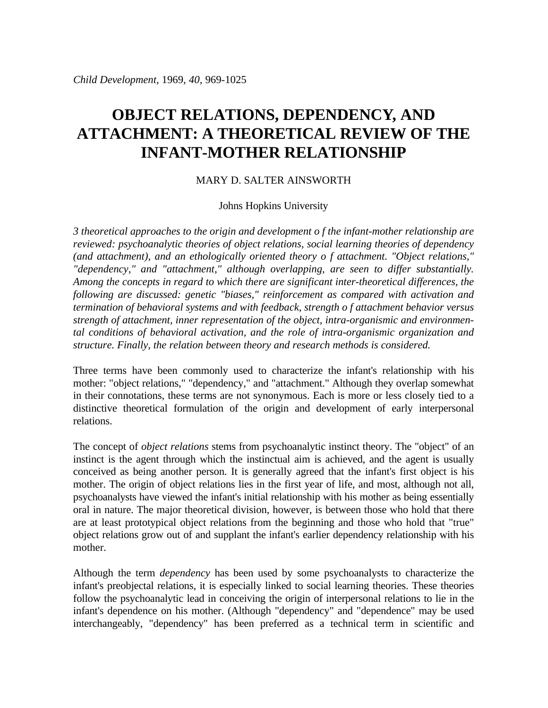# **OBJECT RELATIONS, DEPENDENCY, AND ATTACHMENT: A THEORETICAL REVIEW OF THE INFANT-MOTHER RELATIONSHIP**

#### MARY D. SALTER AINSWORTH

#### Johns Hopkins University

*3 theoretical approaches to the origin and development o f the infant-mother relationship are reviewed: psychoanalytic theories of object relations, social learning theories of dependency (and attachment), and an ethologically oriented theory o f attachment. "Object relations," "dependency," and "attachment," although overlapping, are seen to differ substantially. Among the concepts in regard to which there are significant inter-theoretical differences, the following are discussed: genetic "biases," reinforcement as compared with activation and termination of behavioral systems and with feedback, strength o f attachment behavior versus strength of attachment, inner representation of the object, intra-organismic and environmental conditions of behavioral activation, and the role of intra-organismic organization and structure. Finally, the relation between theory and research methods is considered.*

Three terms have been commonly used to characterize the infant's relationship with his mother: "object relations," "dependency," and "attachment." Although they overlap somewhat in their connotations, these terms are not synonymous. Each is more or less closely tied to a distinctive theoretical formulation of the origin and development of early interpersonal relations.

The concept of *object relations* stems from psychoanalytic instinct theory. The "object" of an instinct is the agent through which the instinctual aim is achieved, and the agent is usually conceived as being another person. It is generally agreed that the infant's first object is his mother. The origin of object relations lies in the first year of life, and most, although not all, psychoanalysts have viewed the infant's initial relationship with his mother as being essentially oral in nature. The major theoretical division, however, is between those who hold that there are at least prototypical object relations from the beginning and those who hold that "true" object relations grow out of and supplant the infant's earlier dependency relationship with his mother.

Although the term *dependency* has been used by some psychoanalysts to characterize the infant's preobjectal relations, it is especially linked to social learning theories. These theories follow the psychoanalytic lead in conceiving the origin of interpersonal relations to lie in the infant's dependence on his mother. (Although "dependency" and "dependence" may be used interchangeably, "dependency" has been preferred as a technical term in scientific and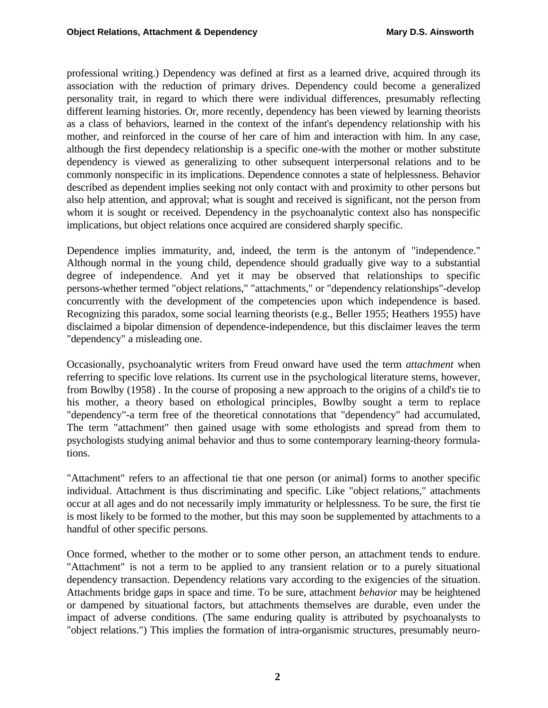professional writing.) Dependency was defined at first as a learned drive, acquired through its association with the reduction of primary drives. Dependency could become a generalized personality trait, in regard to which there were individual differences, presumably reflecting different learning histories. Or, more recently, dependency has been viewed by learning theorists as a class of behaviors, learned in the context of the infant's dependency relationship with his mother, and reinforced in the course of her care of him and interaction with him. In any case, although the first dependecy relationship is a specific one-with the mother or mother substitute dependency is viewed as generalizing to other subsequent interpersonal relations and to be commonly nonspecific in its implications. Dependence connotes a state of helplessness. Behavior described as dependent implies seeking not only contact with and proximity to other persons but also help attention, and approval; what is sought and received is significant, not the person from whom it is sought or received. Dependency in the psychoanalytic context also has nonspecific implications, but object relations once acquired are considered sharply specific.

Dependence implies immaturity, and, indeed, the term is the antonym of "independence." Although normal in the young child, dependence should gradually give way to a substantial degree of independence. And yet it may be observed that relationships to specific persons-whether termed "object relations," "attachments," or "dependency relationships"-develop concurrently with the development of the competencies upon which independence is based. Recognizing this paradox, some social learning theorists (e.g., Beller 1955; Heathers 1955) have disclaimed a bipolar dimension of dependence-independence, but this disclaimer leaves the term "dependency" a misleading one.

Occasionally, psychoanalytic writers from Freud onward have used the term *attachment* when referring to specific love relations. Its current use in the psychological literature stems, however, from Bowlby (1958) . In the course of proposing a new approach to the origins of a child's tie to his mother, a theory based on ethological principles, Bowlby sought a term to replace "dependency"-a term free of the theoretical connotations that "dependency" had accumulated, The term "attachment" then gained usage with some ethologists and spread from them to psychologists studying animal behavior and thus to some contemporary learning-theory formulations.

"Attachment" refers to an affectional tie that one person (or animal) forms to another specific individual. Attachment is thus discriminating and specific. Like "object relations," attachments occur at all ages and do not necessarily imply immaturity or helplessness. To be sure, the first tie is most likely to be formed to the mother, but this may soon be supplemented by attachments to a handful of other specific persons.

Once formed, whether to the mother or to some other person, an attachment tends to endure. "Attachment" is not a term to be applied to any transient relation or to a purely situational dependency transaction. Dependency relations vary according to the exigencies of the situation. Attachments bridge gaps in space and time. To be sure, attachment *behavior* may be heightened or dampened by situational factors, but attachments themselves are durable, even under the impact of adverse conditions. (The same enduring quality is attributed by psychoanalysts to "object relations.") This implies the formation of intra-organismic structures, presumably neuro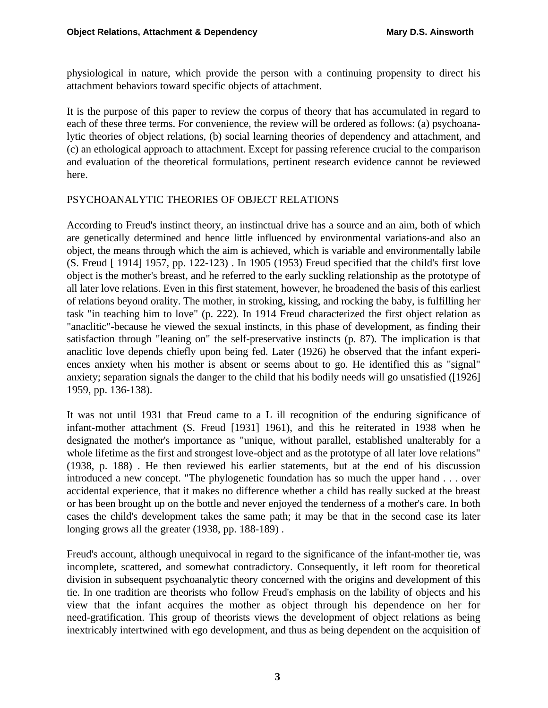physiological in nature, which provide the person with a continuing propensity to direct his attachment behaviors toward specific objects of attachment.

It is the purpose of this paper to review the corpus of theory that has accumulated in regard to each of these three terms. For convenience, the review will be ordered as follows: (a) psychoanalytic theories of object relations, (b) social learning theories of dependency and attachment, and (c) an ethological approach to attachment. Except for passing reference crucial to the comparison and evaluation of the theoretical formulations, pertinent research evidence cannot be reviewed here.

#### PSYCHOANALYTIC THEORIES OF OBJECT RELATIONS

According to Freud's instinct theory, an instinctual drive has a source and an aim, both of which are genetically determined and hence little influenced by environmental variations-and also an object, the means through which the aim is achieved, which is variable and environmentally labile (S. Freud [ 1914] 1957, pp. 122-123) . In 1905 (1953) Freud specified that the child's first love object is the mother's breast, and he referred to the early suckling relationship as the prototype of all later love relations. Even in this first statement, however, he broadened the basis of this earliest of relations beyond orality. The mother, in stroking, kissing, and rocking the baby, is fulfilling her task "in teaching him to love" (p. 222). In 1914 Freud characterized the first object relation as "anaclitic"-because he viewed the sexual instincts, in this phase of development, as finding their satisfaction through "leaning on" the self-preservative instincts (p. 87). The implication is that anaclitic love depends chiefly upon being fed. Later (1926) he observed that the infant experiences anxiety when his mother is absent or seems about to go. He identified this as "signal" anxiety; separation signals the danger to the child that his bodily needs will go unsatisfied ([1926] 1959, pp. 136-138).

It was not until 1931 that Freud came to a L ill recognition of the enduring significance of infant-mother attachment (S. Freud [1931] 1961), and this he reiterated in 1938 when he designated the mother's importance as "unique, without parallel, established unalterably for a whole lifetime as the first and strongest love-object and as the prototype of all later love relations" (1938, p. 188) . He then reviewed his earlier statements, but at the end of his discussion introduced a new concept. "The phylogenetic foundation has so much the upper hand . . . over accidental experience, that it makes no difference whether a child has really sucked at the breast or has been brought up on the bottle and never enjoyed the tenderness of a mother's care. In both cases the child's development takes the same path; it may be that in the second case its later longing grows all the greater (1938, pp. 188-189).

Freud's account, although unequivocal in regard to the significance of the infant-mother tie, was incomplete, scattered, and somewhat contradictory. Consequently, it left room for theoretical division in subsequent psychoanalytic theory concerned with the origins and development of this tie. In one tradition are theorists who follow Freud's emphasis on the lability of objects and his view that the infant acquires the mother as object through his dependence on her for need-gratification. This group of theorists views the development of object relations as being inextricably intertwined with ego development, and thus as being dependent on the acquisition of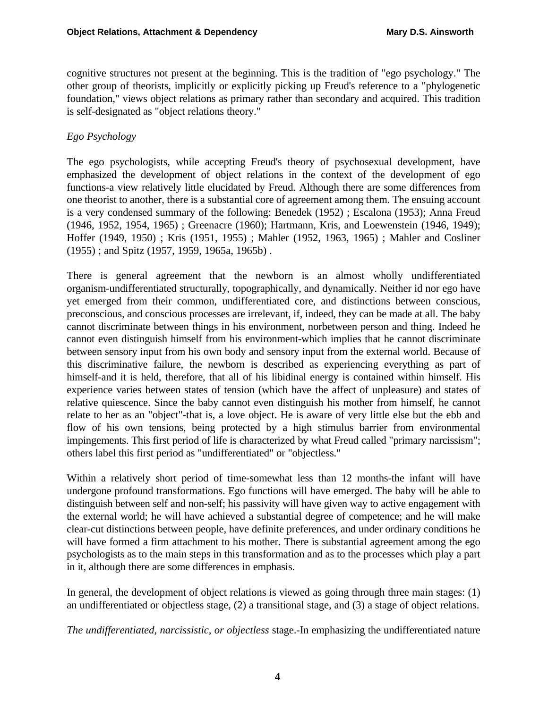cognitive structures not present at the beginning. This is the tradition of "ego psychology." The other group of theorists, implicitly or explicitly picking up Freud's reference to a "phylogenetic foundation," views object relations as primary rather than secondary and acquired. This tradition is self-designated as "object relations theory."

### *Ego Psychology*

The ego psychologists, while accepting Freud's theory of psychosexual development, have emphasized the development of object relations in the context of the development of ego functions-a view relatively little elucidated by Freud. Although there are some differences from one theorist to another, there is a substantial core of agreement among them. The ensuing account is a very condensed summary of the following: Benedek (1952) ; Escalona (1953); Anna Freud (1946, 1952, 1954, 1965) ; Greenacre (1960); Hartmann, Kris, and Loewenstein (1946, 1949); Hoffer (1949, 1950) ; Kris (1951, 1955) ; Mahler (1952, 1963, 1965) ; Mahler and Cosliner (1955) ; and Spitz (1957, 1959, 1965a, 1965b) .

There is general agreement that the newborn is an almost wholly undifferentiated organism-undifferentiated structurally, topographically, and dynamically. Neither id nor ego have yet emerged from their common, undifferentiated core, and distinctions between conscious, preconscious, and conscious processes are irrelevant, if, indeed, they can be made at all. The baby cannot discriminate between things in his environment, norbetween person and thing. Indeed he cannot even distinguish himself from his environment-which implies that he cannot discriminate between sensory input from his own body and sensory input from the external world. Because of this discriminative failure, the newborn is described as experiencing everything as part of himself-and it is held, therefore, that all of his libidinal energy is contained within himself. His experience varies between states of tension (which have the affect of unpleasure) and states of relative quiescence. Since the baby cannot even distinguish his mother from himself, he cannot relate to her as an "object"-that is, a love object. He is aware of very little else but the ebb and flow of his own tensions, being protected by a high stimulus barrier from environmental impingements. This first period of life is characterized by what Freud called "primary narcissism"; others label this first period as "undifferentiated" or "objectless."

Within a relatively short period of time-somewhat less than 12 months-the infant will have undergone profound transformations. Ego functions will have emerged. The baby will be able to distinguish between self and non-self; his passivity will have given way to active engagement with the external world; he will have achieved a substantial degree of competence; and he will make clear-cut distinctions between people, have definite preferences, and under ordinary conditions he will have formed a firm attachment to his mother. There is substantial agreement among the ego psychologists as to the main steps in this transformation and as to the processes which play a part in it, although there are some differences in emphasis.

In general, the development of object relations is viewed as going through three main stages: (1) an undifferentiated or objectless stage, (2) a transitional stage, and (3) a stage of object relations.

*The undifferentiated, narcissistic, or objectless* stage.-In emphasizing the undifferentiated nature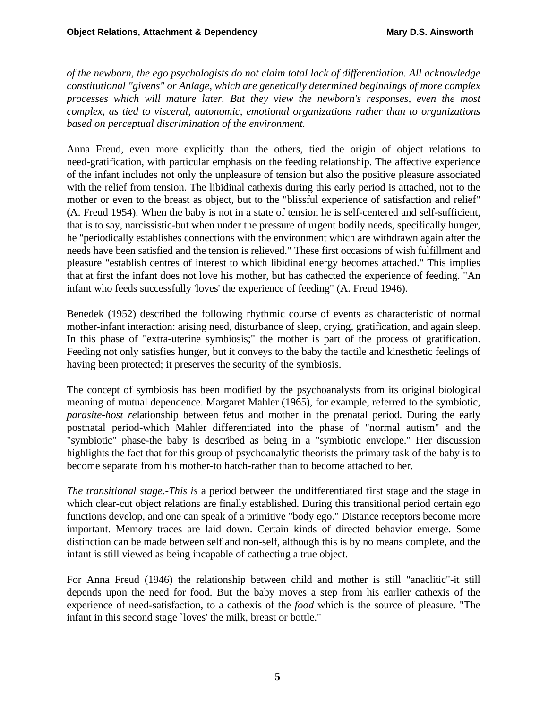*of the newborn, the ego psychologists do not claim total lack of differentiation. All acknowledge constitutional "givens" or Anlage, which are genetically determined beginnings of more complex processes which will mature later. But they view the newborn's responses, even the most complex, as tied to visceral, autonomic, emotional organizations rather than to organizations based on perceptual discrimination of the environment.*

Anna Freud, even more explicitly than the others, tied the origin of object relations to need-gratification, with particular emphasis on the feeding relationship. The affective experience of the infant includes not only the unpleasure of tension but also the positive pleasure associated with the relief from tension. The libidinal cathexis during this early period is attached, not to the mother or even to the breast as object, but to the "blissful experience of satisfaction and relief" (A. Freud 1954). When the baby is not in a state of tension he is self-centered and self-sufficient, that is to say, narcissistic-but when under the pressure of urgent bodily needs, specifically hunger, he "periodically establishes connections with the environment which are withdrawn again after the needs have been satisfied and the tension is relieved." These first occasions of wish fulfillment and pleasure "establish centres of interest to which libidinal energy becomes attached." This implies that at first the infant does not love his mother, but has cathected the experience of feeding. "An infant who feeds successfully 'loves' the experience of feeding" (A. Freud 1946).

Benedek (1952) described the following rhythmic course of events as characteristic of normal mother-infant interaction: arising need, disturbance of sleep, crying, gratification, and again sleep. In this phase of "extra-uterine symbiosis;" the mother is part of the process of gratification. Feeding not only satisfies hunger, but it conveys to the baby the tactile and kinesthetic feelings of having been protected; it preserves the security of the symbiosis.

The concept of symbiosis has been modified by the psychoanalysts from its original biological meaning of mutual dependence. Margaret Mahler (1965), for example, referred to the symbiotic, *parasite-host re*lationship between fetus and mother in the prenatal period. During the early postnatal period-which Mahler differentiated into the phase of "normal autism" and the "symbiotic" phase-the baby is described as being in a "symbiotic envelope." Her discussion highlights the fact that for this group of psychoanalytic theorists the primary task of the baby is to become separate from his mother-to hatch-rather than to become attached to her.

*The transitional stage.-This is* a period between the undifferentiated first stage and the stage in which clear-cut object relations are finally established. During this transitional period certain ego functions develop, and one can speak of a primitive "body ego." Distance receptors become more important. Memory traces are laid down. Certain kinds of directed behavior emerge. Some distinction can be made between self and non-self, although this is by no means complete, and the infant is still viewed as being incapable of cathecting a true object.

For Anna Freud (1946) the relationship between child and mother is still "anaclitic"-it still depends upon the need for food. But the baby moves a step from his earlier cathexis of the experience of need-satisfaction, to a cathexis of the *food* which is the source of pleasure. "The infant in this second stage `loves' the milk, breast or bottle."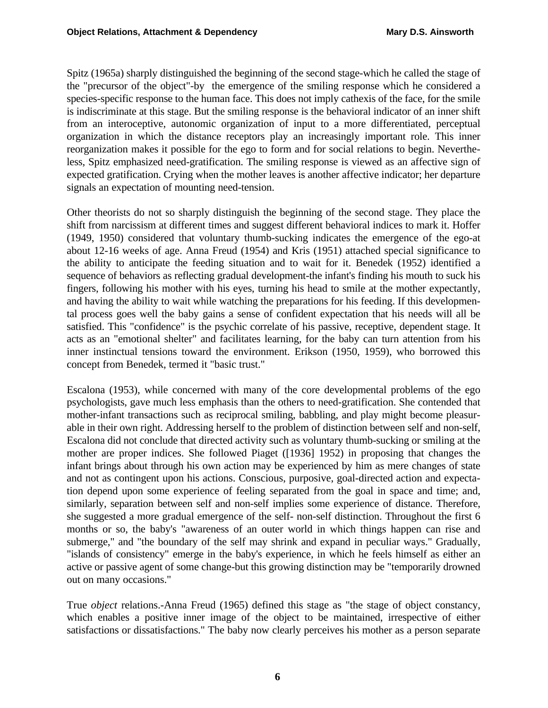Spitz (1965a) sharply distinguished the beginning of the second stage-which he called the stage of the "precursor of the object"-by the emergence of the smiling response which he considered a species-specific response to the human face. This does not imply cathexis of the face, for the smile is indiscriminate at this stage. But the smiling response is the behavioral indicator of an inner shift from an interoceptive, autonomic organization of input to a more differentiated, perceptual organization in which the distance receptors play an increasingly important role. This inner reorganization makes it possible for the ego to form and for social relations to begin. Nevertheless, Spitz emphasized need-gratification. The smiling response is viewed as an affective sign of expected gratification. Crying when the mother leaves is another affective indicator; her departure signals an expectation of mounting need-tension.

Other theorists do not so sharply distinguish the beginning of the second stage. They place the shift from narcissism at different times and suggest different behavioral indices to mark it. Hoffer (1949, 1950) considered that voluntary thumb-sucking indicates the emergence of the ego-at about 12-16 weeks of age. Anna Freud (1954) and Kris (1951) attached special significance to the ability to anticipate the feeding situation and to wait for it. Benedek (1952) identified a sequence of behaviors as reflecting gradual development-the infant's finding his mouth to suck his fingers, following his mother with his eyes, turning his head to smile at the mother expectantly, and having the ability to wait while watching the preparations for his feeding. If this developmental process goes well the baby gains a sense of confident expectation that his needs will all be satisfied. This "confidence" is the psychic correlate of his passive, receptive, dependent stage. It acts as an "emotional shelter" and facilitates learning, for the baby can turn attention from his inner instinctual tensions toward the environment. Erikson (1950, 1959), who borrowed this concept from Benedek, termed it "basic trust."

Escalona (1953), while concerned with many of the core developmental problems of the ego psychologists, gave much less emphasis than the others to need-gratification. She contended that mother-infant transactions such as reciprocal smiling, babbling, and play might become pleasurable in their own right. Addressing herself to the problem of distinction between self and non-self, Escalona did not conclude that directed activity such as voluntary thumb-sucking or smiling at the mother are proper indices. She followed Piaget ([1936] 1952) in proposing that changes the infant brings about through his own action may be experienced by him as mere changes of state and not as contingent upon his actions. Conscious, purposive, goal-directed action and expectation depend upon some experience of feeling separated from the goal in space and time; and, similarly, separation between self and non-self implies some experience of distance. Therefore, she suggested a more gradual emergence of the self- non-self distinction. Throughout the first 6 months or so, the baby's "awareness of an outer world in which things happen can rise and submerge," and "the boundary of the self may shrink and expand in peculiar ways." Gradually, "islands of consistency" emerge in the baby's experience, in which he feels himself as either an active or passive agent of some change-but this growing distinction may be "temporarily drowned out on many occasions."

True *object* relations.-Anna Freud (1965) defined this stage as "the stage of object constancy, which enables a positive inner image of the object to be maintained, irrespective of either satisfactions or dissatisfactions." The baby now clearly perceives his mother as a person separate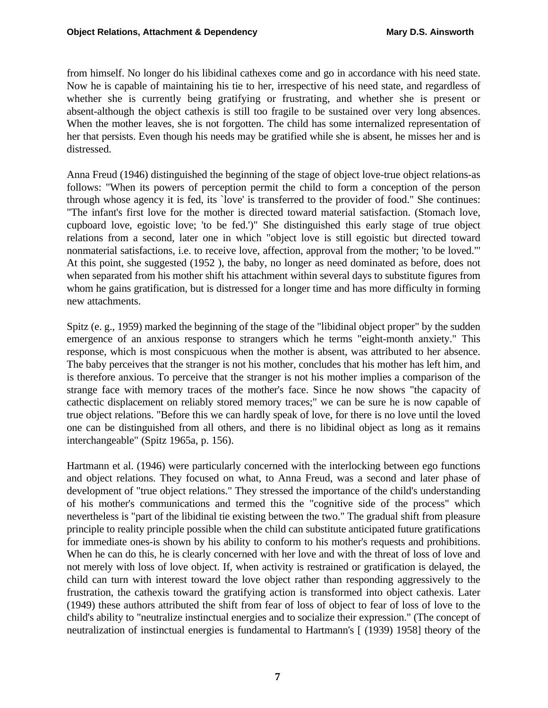from himself. No longer do his libidinal cathexes come and go in accordance with his need state. Now he is capable of maintaining his tie to her, irrespective of his need state, and regardless of whether she is currently being gratifying or frustrating, and whether she is present or absent-although the object cathexis is still too fragile to be sustained over very long absences. When the mother leaves, she is not forgotten. The child has some internalized representation of her that persists. Even though his needs may be gratified while she is absent, he misses her and is distressed.

Anna Freud (1946) distinguished the beginning of the stage of object love-true object relations-as follows: "When its powers of perception permit the child to form a conception of the person through whose agency it is fed, its `love' is transferred to the provider of food." She continues: "The infant's first love for the mother is directed toward material satisfaction. (Stomach love, cupboard love, egoistic love; 'to be fed.')" She distinguished this early stage of true object relations from a second, later one in which "object love is still egoistic but directed toward nonmaterial satisfactions, i.e. to receive love, affection, approval from the mother; 'to be loved."' At this point, she suggested (1952 ), the baby, no longer as need dominated as before, does not when separated from his mother shift his attachment within several days to substitute figures from whom he gains gratification, but is distressed for a longer time and has more difficulty in forming new attachments.

Spitz (e. g., 1959) marked the beginning of the stage of the "libidinal object proper" by the sudden emergence of an anxious response to strangers which he terms "eight-month anxiety." This response, which is most conspicuous when the mother is absent, was attributed to her absence. The baby perceives that the stranger is not his mother, concludes that his mother has left him, and is therefore anxious. To perceive that the stranger is not his mother implies a comparison of the strange face with memory traces of the mother's face. Since he now shows "the capacity of cathectic displacement on reliably stored memory traces;" we can be sure he is now capable of true object relations. "Before this we can hardly speak of love, for there is no love until the loved one can be distinguished from all others, and there is no libidinal object as long as it remains interchangeable" (Spitz 1965a, p. 156).

Hartmann et al. (1946) were particularly concerned with the interlocking between ego functions and object relations. They focused on what, to Anna Freud, was a second and later phase of development of "true object relations." They stressed the importance of the child's understanding of his mother's communications and termed this the "cognitive side of the process" which nevertheless is "part of the libidinal tie existing between the two." The gradual shift from pleasure principle to reality principle possible when the child can substitute anticipated future gratifications for immediate ones-is shown by his ability to conform to his mother's requests and prohibitions. When he can do this, he is clearly concerned with her love and with the threat of loss of love and not merely with loss of love object. If, when activity is restrained or gratification is delayed, the child can turn with interest toward the love object rather than responding aggressively to the frustration, the cathexis toward the gratifying action is transformed into object cathexis. Later (1949) these authors attributed the shift from fear of loss of object to fear of loss of love to the child's ability to "neutralize instinctual energies and to socialize their expression." (The concept of neutralization of instinctual energies is fundamental to Hartmann's [ (1939) 1958] theory of the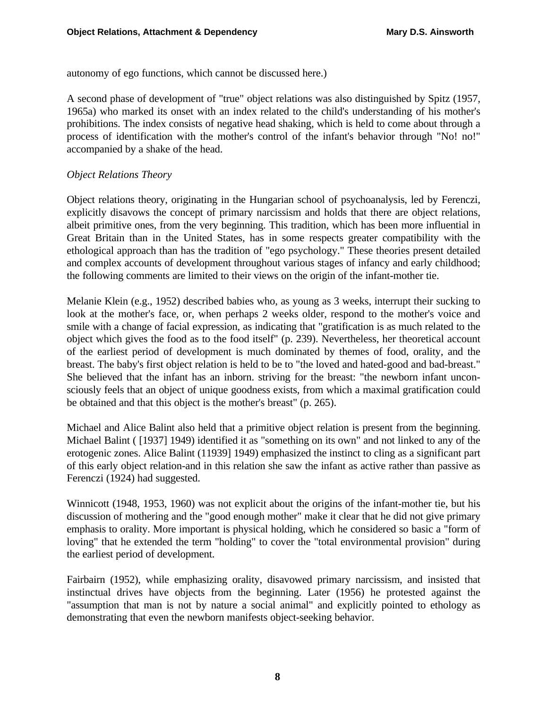autonomy of ego functions, which cannot be discussed here.)

A second phase of development of "true" object relations was also distinguished by Spitz (1957, 1965a) who marked its onset with an index related to the child's understanding of his mother's prohibitions. The index consists of negative head shaking, which is held to come about through a process of identification with the mother's control of the infant's behavior through "No! no!" accompanied by a shake of the head.

#### *Object Relations Theory*

Object relations theory, originating in the Hungarian school of psychoanalysis, led by Ferenczi, explicitly disavows the concept of primary narcissism and holds that there are object relations, albeit primitive ones, from the very beginning. This tradition, which has been more influential in Great Britain than in the United States, has in some respects greater compatibility with the ethological approach than has the tradition of "ego psychology." These theories present detailed and complex accounts of development throughout various stages of infancy and early childhood; the following comments are limited to their views on the origin of the infant-mother tie.

Melanie Klein (e.g., 1952) described babies who, as young as 3 weeks, interrupt their sucking to look at the mother's face, or, when perhaps 2 weeks older, respond to the mother's voice and smile with a change of facial expression, as indicating that "gratification is as much related to the object which gives the food as to the food itself" (p. 239). Nevertheless, her theoretical account of the earliest period of development is much dominated by themes of food, orality, and the breast. The baby's first object relation is held to be to "the loved and hated-good and bad-breast." She believed that the infant has an inborn. striving for the breast: "the newborn infant unconsciously feels that an object of unique goodness exists, from which a maximal gratification could be obtained and that this object is the mother's breast" (p. 265).

Michael and Alice Balint also held that a primitive object relation is present from the beginning. Michael Balint ( [1937] 1949) identified it as "something on its own" and not linked to any of the erotogenic zones. Alice Balint (11939] 1949) emphasized the instinct to cling as a significant part of this early object relation-and in this relation she saw the infant as active rather than passive as Ferenczi (1924) had suggested.

Winnicott (1948, 1953, 1960) was not explicit about the origins of the infant-mother tie, but his discussion of mothering and the "good enough mother" make it clear that he did not give primary emphasis to orality. More important is physical holding, which he considered so basic a "form of loving" that he extended the term "holding" to cover the "total environmental provision" during the earliest period of development.

Fairbairn (1952), while emphasizing orality, disavowed primary narcissism, and insisted that instinctual drives have objects from the beginning. Later (1956) he protested against the "assumption that man is not by nature a social animal" and explicitly pointed to ethology as demonstrating that even the newborn manifests object-seeking behavior.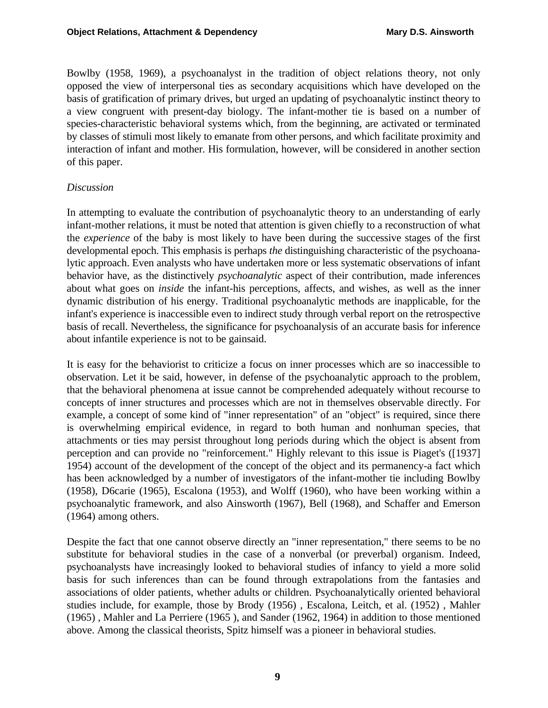Bowlby (1958, 1969), a psychoanalyst in the tradition of object relations theory, not only opposed the view of interpersonal ties as secondary acquisitions which have developed on the basis of gratification of primary drives, but urged an updating of psychoanalytic instinct theory to a view congruent with present-day biology. The infant-mother tie is based on a number of species-characteristic behavioral systems which, from the beginning, are activated or terminated by classes of stimuli most likely to emanate from other persons, and which facilitate proximity and interaction of infant and mother. His formulation, however, will be considered in another section of this paper.

#### *Discussion*

In attempting to evaluate the contribution of psychoanalytic theory to an understanding of early infant-mother relations, it must be noted that attention is given chiefly to a reconstruction of what the *experience* of the baby is most likely to have been during the successive stages of the first developmental epoch. This emphasis is perhaps *the* distinguishing characteristic of the psychoanalytic approach. Even analysts who have undertaken more or less systematic observations of infant behavior have, as the distinctively *psychoanalytic* aspect of their contribution, made inferences about what goes on *inside* the infant-his perceptions, affects, and wishes, as well as the inner dynamic distribution of his energy. Traditional psychoanalytic methods are inapplicable, for the infant's experience is inaccessible even to indirect study through verbal report on the retrospective basis of recall. Nevertheless, the significance for psychoanalysis of an accurate basis for inference about infantile experience is not to be gainsaid.

It is easy for the behaviorist to criticize a focus on inner processes which are so inaccessible to observation. Let it be said, however, in defense of the psychoanalytic approach to the problem, that the behavioral phenomena at issue cannot be comprehended adequately without recourse to concepts of inner structures and processes which are not in themselves observable directly. For example, a concept of some kind of "inner representation" of an "object" is required, since there is overwhelming empirical evidence, in regard to both human and nonhuman species, that attachments or ties may persist throughout long periods during which the object is absent from perception and can provide no "reinforcement." Highly relevant to this issue is Piaget's ([1937] 1954) account of the development of the concept of the object and its permanency-a fact which has been acknowledged by a number of investigators of the infant-mother tie including Bowlby (1958), D6carie (1965), Escalona (1953), and Wolff (1960), who have been working within a psychoanalytic framework, and also Ainsworth (1967), Bell (1968), and Schaffer and Emerson (1964) among others.

Despite the fact that one cannot observe directly an "inner representation," there seems to be no substitute for behavioral studies in the case of a nonverbal (or preverbal) organism. Indeed, psychoanalysts have increasingly looked to behavioral studies of infancy to yield a more solid basis for such inferences than can be found through extrapolations from the fantasies and associations of older patients, whether adults or children. Psychoanalytically oriented behavioral studies include, for example, those by Brody (1956) , Escalona, Leitch, et al. (1952) , Mahler (1965) , Mahler and La Perriere (1965 ), and Sander (1962, 1964) in addition to those mentioned above. Among the classical theorists, Spitz himself was a pioneer in behavioral studies.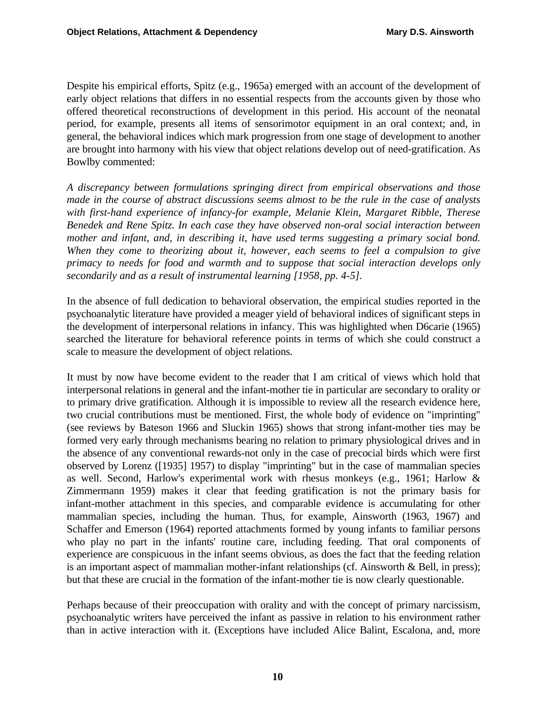Despite his empirical efforts, Spitz (e.g., 1965a) emerged with an account of the development of early object relations that differs in no essential respects from the accounts given by those who offered theoretical reconstructions of development in this period. His account of the neonatal period, for example, presents all items of sensorimotor equipment in an oral context; and, in general, the behavioral indices which mark progression from one stage of development to another are brought into harmony with his view that object relations develop out of need-gratification. As Bowlby commented:

*A discrepancy between formulations springing direct from empirical observations and those made in the course of abstract discussions seems almost to be the rule in the case of analysts with first-hand experience of infancy-for example, Melanie Klein, Margaret Ribble, Therese Benedek and Rene Spitz. In each case they have observed non-oral social interaction between mother and infant, and, in describing it, have used terms suggesting a primary social bond. When they come to theorizing about it, however, each seems to feel a compulsion to give primacy to needs for food and warmth and to suppose that social interaction develops only secondarily and as a result of instrumental learning [1958, pp. 4-5].*

In the absence of full dedication to behavioral observation, the empirical studies reported in the psychoanalytic literature have provided a meager yield of behavioral indices of significant steps in the development of interpersonal relations in infancy. This was highlighted when D6carie (1965) searched the literature for behavioral reference points in terms of which she could construct a scale to measure the development of object relations.

It must by now have become evident to the reader that I am critical of views which hold that interpersonal relations in general and the infant-mother tie in particular are secondary to orality or to primary drive gratification. Although it is impossible to review all the research evidence here, two crucial contributions must be mentioned. First, the whole body of evidence on "imprinting" (see reviews by Bateson 1966 and Sluckin 1965) shows that strong infant-mother ties may be formed very early through mechanisms bearing no relation to primary physiological drives and in the absence of any conventional rewards-not only in the case of precocial birds which were first observed by Lorenz ([1935] 1957) to display "imprinting" but in the case of mammalian species as well. Second, Harlow's experimental work with rhesus monkeys (e.g., 1961; Harlow & Zimmermann 1959) makes it clear that feeding gratification is not the primary basis for infant-mother attachment in this species, and comparable evidence is accumulating for other mammalian species, including the human. Thus, for example, Ainsworth (1963, 1967) and Schaffer and Emerson (1964) reported attachments formed by young infants to familiar persons who play no part in the infants' routine care, including feeding. That oral components of experience are conspicuous in the infant seems obvious, as does the fact that the feeding relation is an important aspect of mammalian mother-infant relationships (cf. Ainsworth & Bell, in press); but that these are crucial in the formation of the infant-mother tie is now clearly questionable.

Perhaps because of their preoccupation with orality and with the concept of primary narcissism, psychoanalytic writers have perceived the infant as passive in relation to his environment rather than in active interaction with it. (Exceptions have included Alice Balint, Escalona, and, more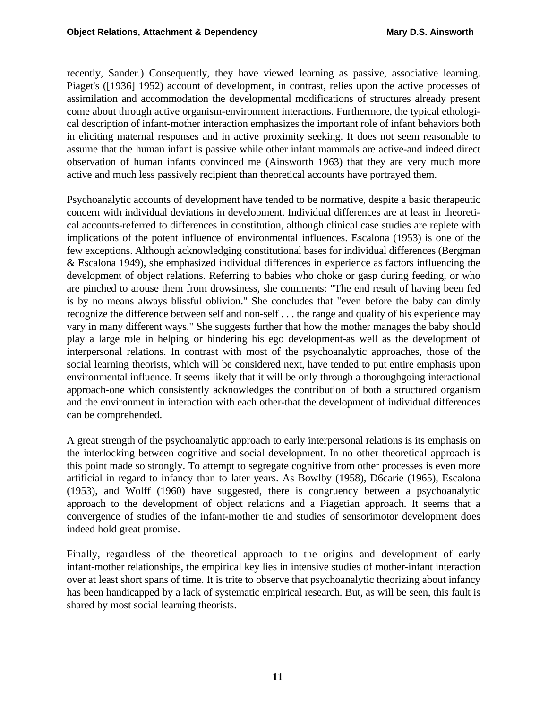recently, Sander.) Consequently, they have viewed learning as passive, associative learning. Piaget's ([1936] 1952) account of development, in contrast, relies upon the active processes of assimilation and accommodation the developmental modifications of structures already present come about through active organism-environment interactions. Furthermore, the typical ethological description of infant-mother interaction emphasizes the important role of infant behaviors both in eliciting maternal responses and in active proximity seeking. It does not seem reasonable to assume that the human infant is passive while other infant mammals are active-and indeed direct observation of human infants convinced me (Ainsworth 1963) that they are very much more active and much less passively recipient than theoretical accounts have portrayed them.

Psychoanalytic accounts of development have tended to be normative, despite a basic therapeutic concern with individual deviations in development. Individual differences are at least in theoretical accounts-referred to differences in constitution, although clinical case studies are replete with implications of the potent influence of environmental influences. Escalona (1953) is one of the few exceptions. Although acknowledging constitutional bases for individual differences (Bergman & Escalona 1949), she emphasized individual differences in experience as factors influencing the development of object relations. Referring to babies who choke or gasp during feeding, or who are pinched to arouse them from drowsiness, she comments: "The end result of having been fed is by no means always blissful oblivion." She concludes that "even before the baby can dimly recognize the difference between self and non-self . . . the range and quality of his experience may vary in many different ways." She suggests further that how the mother manages the baby should play a large role in helping or hindering his ego development-as well as the development of interpersonal relations. In contrast with most of the psychoanalytic approaches, those of the social learning theorists, which will be considered next, have tended to put entire emphasis upon environmental influence. It seems likely that it will be only through a thoroughgoing interactional approach-one which consistently acknowledges the contribution of both a structured organism and the environment in interaction with each other-that the development of individual differences can be comprehended.

A great strength of the psychoanalytic approach to early interpersonal relations is its emphasis on the interlocking between cognitive and social development. In no other theoretical approach is this point made so strongly. To attempt to segregate cognitive from other processes is even more artificial in regard to infancy than to later years. As Bowlby (1958), D6carie (1965), Escalona (1953), and Wolff (1960) have suggested, there is congruency between a psychoanalytic approach to the development of object relations and a Piagetian approach. It seems that a convergence of studies of the infant-mother tie and studies of sensorimotor development does indeed hold great promise.

Finally, regardless of the theoretical approach to the origins and development of early infant-mother relationships, the empirical key lies in intensive studies of mother-infant interaction over at least short spans of time. It is trite to observe that psychoanalytic theorizing about infancy has been handicapped by a lack of systematic empirical research. But, as will be seen, this fault is shared by most social learning theorists.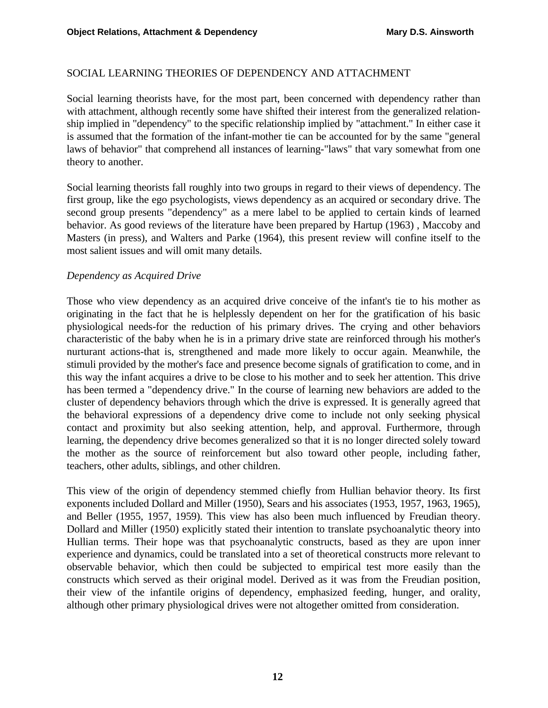### SOCIAL LEARNING THEORIES OF DEPENDENCY AND ATTACHMENT

Social learning theorists have, for the most part, been concerned with dependency rather than with attachment, although recently some have shifted their interest from the generalized relationship implied in "dependency" to the specific relationship implied by "attachment." In either case it is assumed that the formation of the infant-mother tie can be accounted for by the same "general laws of behavior" that comprehend all instances of learning-"laws" that vary somewhat from one theory to another.

Social learning theorists fall roughly into two groups in regard to their views of dependency. The first group, like the ego psychologists, views dependency as an acquired or secondary drive. The second group presents "dependency" as a mere label to be applied to certain kinds of learned behavior. As good reviews of the literature have been prepared by Hartup (1963) , Maccoby and Masters (in press), and Walters and Parke (1964), this present review will confine itself to the most salient issues and will omit many details.

#### *Dependency as Acquired Drive*

Those who view dependency as an acquired drive conceive of the infant's tie to his mother as originating in the fact that he is helplessly dependent on her for the gratification of his basic physiological needs-for the reduction of his primary drives. The crying and other behaviors characteristic of the baby when he is in a primary drive state are reinforced through his mother's nurturant actions-that is, strengthened and made more likely to occur again. Meanwhile, the stimuli provided by the mother's face and presence become signals of gratification to come, and in this way the infant acquires a drive to be close to his mother and to seek her attention. This drive has been termed a "dependency drive." In the course of learning new behaviors are added to the cluster of dependency behaviors through which the drive is expressed. It is generally agreed that the behavioral expressions of a dependency drive come to include not only seeking physical contact and proximity but also seeking attention, help, and approval. Furthermore, through learning, the dependency drive becomes generalized so that it is no longer directed solely toward the mother as the source of reinforcement but also toward other people, including father, teachers, other adults, siblings, and other children.

This view of the origin of dependency stemmed chiefly from Hullian behavior theory. Its first exponents included Dollard and Miller (1950), Sears and his associates (1953, 1957, 1963, 1965), and Beller (1955, 1957, 1959). This view has also been much influenced by Freudian theory. Dollard and Miller (1950) explicitly stated their intention to translate psychoanalytic theory into Hullian terms. Their hope was that psychoanalytic constructs, based as they are upon inner experience and dynamics, could be translated into a set of theoretical constructs more relevant to observable behavior, which then could be subjected to empirical test more easily than the constructs which served as their original model. Derived as it was from the Freudian position, their view of the infantile origins of dependency, emphasized feeding, hunger, and orality, although other primary physiological drives were not altogether omitted from consideration.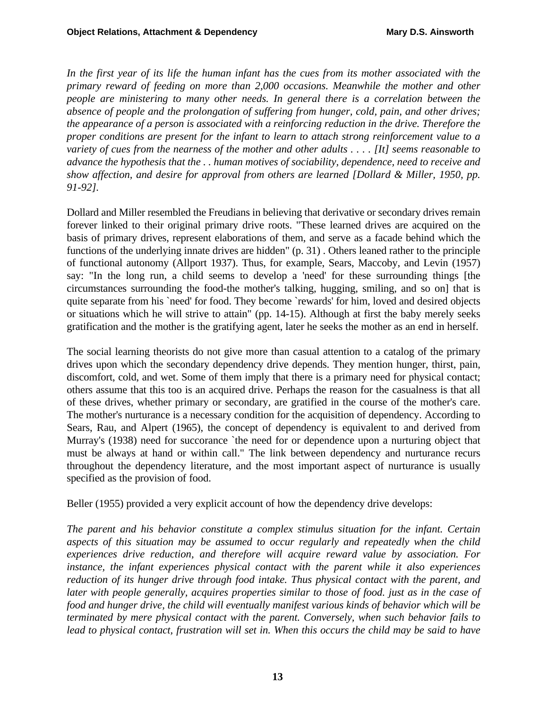*In the first year of its life the human infant has the cues from its mother associated with the primary reward of feeding on more than 2,000 occasions. Meanwhile the mother and other people are ministering to many other needs. In general there is a correlation between the absence of people and the prolongation of suffering from hunger, cold, pain, and other drives; the appearance of a person is associated with a reinforcing reduction in the drive. Therefore the proper conditions are present for the infant to learn to attach strong reinforcement value to a variety of cues from the nearness of the mother and other adults . . . . [It] seems reasonable to advance the hypothesis that the . . human motives of sociability, dependence, need to receive and show affection, and desire for approval from others are learned [Dollard & Miller, 1950, pp. 91-92].*

Dollard and Miller resembled the Freudians in believing that derivative or secondary drives remain forever linked to their original primary drive roots. "These learned drives are acquired on the basis of primary drives, represent elaborations of them, and serve as a facade behind which the functions of the underlying innate drives are hidden" (p. 31) . Others leaned rather to the principle of functional autonomy (Allport 1937). Thus, for example, Sears, Maccoby, and Levin (1957) say: "In the long run, a child seems to develop a 'need' for these surrounding things [the circumstances surrounding the food-the mother's talking, hugging, smiling, and so on] that is quite separate from his `need' for food. They become `rewards' for him, loved and desired objects or situations which he will strive to attain" (pp. 14-15). Although at first the baby merely seeks gratification and the mother is the gratifying agent, later he seeks the mother as an end in herself.

The social learning theorists do not give more than casual attention to a catalog of the primary drives upon which the secondary dependency drive depends. They mention hunger, thirst, pain, discomfort, cold, and wet. Some of them imply that there is a primary need for physical contact; others assume that this too is an acquired drive. Perhaps the reason for the casualness is that all of these drives, whether primary or secondary, are gratified in the course of the mother's care. The mother's nurturance is a necessary condition for the acquisition of dependency. According to Sears, Rau, and Alpert (1965), the concept of dependency is equivalent to and derived from Murray's (1938) need for succorance `the need for or dependence upon a nurturing object that must be always at hand or within call." The link between dependency and nurturance recurs throughout the dependency literature, and the most important aspect of nurturance is usually specified as the provision of food.

Beller (1955) provided a very explicit account of how the dependency drive develops:

*The parent and his behavior constitute a complex stimulus situation for the infant. Certain aspects of this situation may be assumed to occur regularly and repeatedly when the child experiences drive reduction, and therefore will acquire reward value by association. For instance, the infant experiences physical contact with the parent while it also experiences reduction of its hunger drive through food intake. Thus physical contact with the parent, and later with people generally, acquires properties similar to those of food. just as in the case of food and hunger drive, the child will eventually manifest various kinds of behavior which will be terminated by mere physical contact with the parent. Conversely, when such behavior fails to lead to physical contact, frustration will set in. When this occurs the child may be said to have*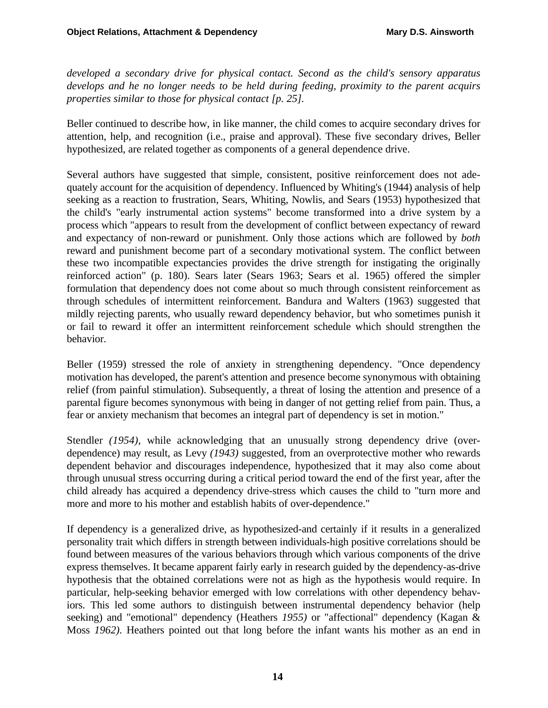*developed a secondary drive for physical contact. Second as the child's sensory apparatus develops and he no longer needs to be held during feeding, proximity to the parent acquirs properties similar to those for physical contact [p. 25].*

Beller continued to describe how, in like manner, the child comes to acquire secondary drives for attention, help, and recognition (i.e., praise and approval). These five secondary drives, Beller hypothesized, are related together as components of a general dependence drive.

Several authors have suggested that simple, consistent, positive reinforcement does not adequately account for the acquisition of dependency. Influenced by Whiting's (1944) analysis of help seeking as a reaction to frustration, Sears, Whiting, Nowlis, and Sears (1953) hypothesized that the child's "early instrumental action systems" become transformed into a drive system by a process which "appears to result from the development of conflict between expectancy of reward and expectancy of non-reward or punishment. Only those actions which are followed by *both* reward and punishment become part of a secondary motivational system. The conflict between these two incompatible expectancies provides the drive strength for instigating the originally reinforced action" (p. 180). Sears later (Sears 1963; Sears et al. 1965) offered the simpler formulation that dependency does not come about so much through consistent reinforcement as through schedules of intermittent reinforcement. Bandura and Walters (1963) suggested that mildly rejecting parents, who usually reward dependency behavior, but who sometimes punish it or fail to reward it offer an intermittent reinforcement schedule which should strengthen the behavior.

Beller (1959) stressed the role of anxiety in strengthening dependency. "Once dependency motivation has developed, the parent's attention and presence become synonymous with obtaining relief (from painful stimulation). Subsequently, a threat of losing the attention and presence of a parental figure becomes synonymous with being in danger of not getting relief from pain. Thus, a fear or anxiety mechanism that becomes an integral part of dependency is set in motion."

Stendler (1954), while acknowledging that an unusually strong dependency drive (overdependence) may result, as Levy *(1943)* suggested, from an overprotective mother who rewards dependent behavior and discourages independence, hypothesized that it may also come about through unusual stress occurring during a critical period toward the end of the first year, after the child already has acquired a dependency drive-stress which causes the child to "turn more and more and more to his mother and establish habits of over-dependence."

If dependency is a generalized drive, as hypothesized-and certainly if it results in a generalized personality trait which differs in strength between individuals-high positive correlations should be found between measures of the various behaviors through which various components of the drive express themselves. It became apparent fairly early in research guided by the dependency-as-drive hypothesis that the obtained correlations were not as high as the hypothesis would require. In particular, help-seeking behavior emerged with low correlations with other dependency behaviors. This led some authors to distinguish between instrumental dependency behavior (help seeking) and "emotional" dependency (Heathers *1955)* or "affectional" dependency (Kagan & Moss *1962).* Heathers pointed out that long before the infant wants his mother as an end in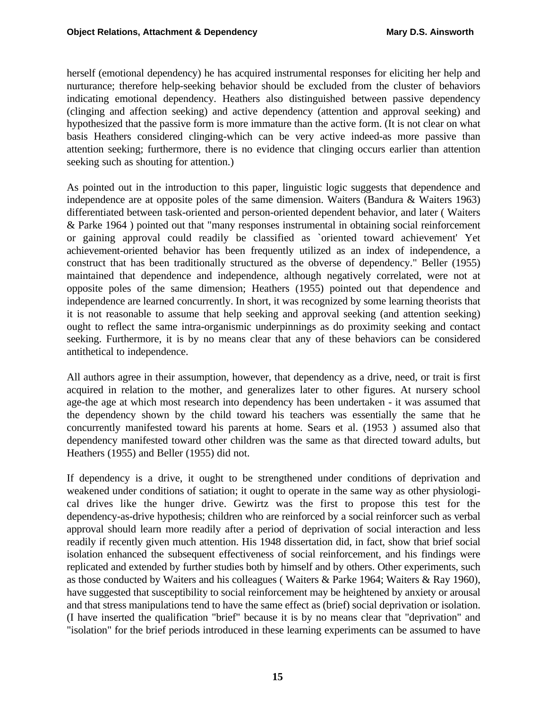herself (emotional dependency) he has acquired instrumental responses for eliciting her help and nurturance; therefore help-seeking behavior should be excluded from the cluster of behaviors indicating emotional dependency. Heathers also distinguished between passive dependency (clinging and affection seeking) and active dependency (attention and approval seeking) and hypothesized that the passive form is more immature than the active form. (It is not clear on what basis Heathers considered clinging-which can be very active indeed-as more passive than attention seeking; furthermore, there is no evidence that clinging occurs earlier than attention seeking such as shouting for attention.)

As pointed out in the introduction to this paper, linguistic logic suggests that dependence and independence are at opposite poles of the same dimension. Waiters (Bandura & Waiters 1963) differentiated between task-oriented and person-oriented dependent behavior, and later ( Waiters & Parke 1964 ) pointed out that "many responses instrumental in obtaining social reinforcement or gaining approval could readily be classified as `oriented toward achievement' Yet achievement-oriented behavior has been frequently utilized as an index of independence, a construct that has been traditionally structured as the obverse of dependency." Beller (1955) maintained that dependence and independence, although negatively correlated, were not at opposite poles of the same dimension; Heathers (1955) pointed out that dependence and independence are learned concurrently. In short, it was recognized by some learning theorists that it is not reasonable to assume that help seeking and approval seeking (and attention seeking) ought to reflect the same intra-organismic underpinnings as do proximity seeking and contact seeking. Furthermore, it is by no means clear that any of these behaviors can be considered antithetical to independence.

All authors agree in their assumption, however, that dependency as a drive, need, or trait is first acquired in relation to the mother, and generalizes later to other figures. At nursery school age-the age at which most research into dependency has been undertaken - it was assumed that the dependency shown by the child toward his teachers was essentially the same that he concurrently manifested toward his parents at home. Sears et al. (1953 ) assumed also that dependency manifested toward other children was the same as that directed toward adults, but Heathers (1955) and Beller (1955) did not.

If dependency is a drive, it ought to be strengthened under conditions of deprivation and weakened under conditions of satiation; it ought to operate in the same way as other physiological drives like the hunger drive. Gewirtz was the first to propose this test for the dependency-as-drive hypothesis; children who are reinforced by a social reinforcer such as verbal approval should learn more readily after a period of deprivation of social interaction and less readily if recently given much attention. His 1948 dissertation did, in fact, show that brief social isolation enhanced the subsequent effectiveness of social reinforcement, and his findings were replicated and extended by further studies both by himself and by others. Other experiments, such as those conducted by Waiters and his colleagues ( Waiters & Parke 1964; Waiters & Ray 1960), have suggested that susceptibility to social reinforcement may be heightened by anxiety or arousal and that stress manipulations tend to have the same effect as (brief) social deprivation or isolation. (I have inserted the qualification "brief" because it is by no means clear that "deprivation" and "isolation" for the brief periods introduced in these learning experiments can be assumed to have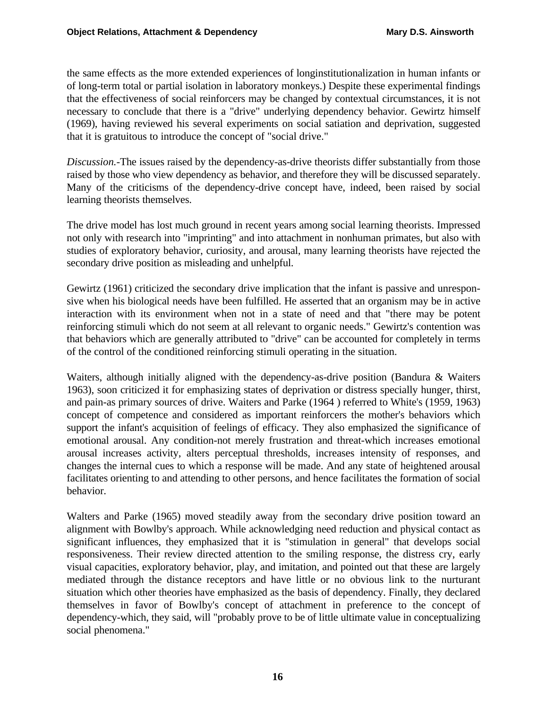the same effects as the more extended experiences of longinstitutionalization in human infants or of long-term total or partial isolation in laboratory monkeys.) Despite these experimental findings that the effectiveness of social reinforcers may be changed by contextual circumstances, it is not necessary to conclude that there is a "drive" underlying dependency behavior. Gewirtz himself (1969), having reviewed his several experiments on social satiation and deprivation, suggested that it is gratuitous to introduce the concept of "social drive."

*Discussion.-*The issues raised by the dependency-as-drive theorists differ substantially from those raised by those who view dependency as behavior, and therefore they will be discussed separately. Many of the criticisms of the dependency-drive concept have, indeed, been raised by social learning theorists themselves.

The drive model has lost much ground in recent years among social learning theorists. Impressed not only with research into "imprinting" and into attachment in nonhuman primates, but also with studies of exploratory behavior, curiosity, and arousal, many learning theorists have rejected the secondary drive position as misleading and unhelpful.

Gewirtz (1961) criticized the secondary drive implication that the infant is passive and unresponsive when his biological needs have been fulfilled. He asserted that an organism may be in active interaction with its environment when not in a state of need and that "there may be potent reinforcing stimuli which do not seem at all relevant to organic needs." Gewirtz's contention was that behaviors which are generally attributed to "drive" can be accounted for completely in terms of the control of the conditioned reinforcing stimuli operating in the situation.

Waiters, although initially aligned with the dependency-as-drive position (Bandura & Waiters 1963), soon criticized it for emphasizing states of deprivation or distress specially hunger, thirst, and pain-as primary sources of drive. Waiters and Parke (1964 ) referred to White's (1959, 1963) concept of competence and considered as important reinforcers the mother's behaviors which support the infant's acquisition of feelings of efficacy. They also emphasized the significance of emotional arousal. Any condition-not merely frustration and threat-which increases emotional arousal increases activity, alters perceptual thresholds, increases intensity of responses, and changes the internal cues to which a response will be made. And any state of heightened arousal facilitates orienting to and attending to other persons, and hence facilitates the formation of social behavior.

Walters and Parke (1965) moved steadily away from the secondary drive position toward an alignment with Bowlby's approach. While acknowledging need reduction and physical contact as significant influences, they emphasized that it is "stimulation in general" that develops social responsiveness. Their review directed attention to the smiling response, the distress cry, early visual capacities, exploratory behavior, play, and imitation, and pointed out that these are largely mediated through the distance receptors and have little or no obvious link to the nurturant situation which other theories have emphasized as the basis of dependency. Finally, they declared themselves in favor of Bowlby's concept of attachment in preference to the concept of dependency-which, they said, will "probably prove to be of little ultimate value in conceptualizing social phenomena."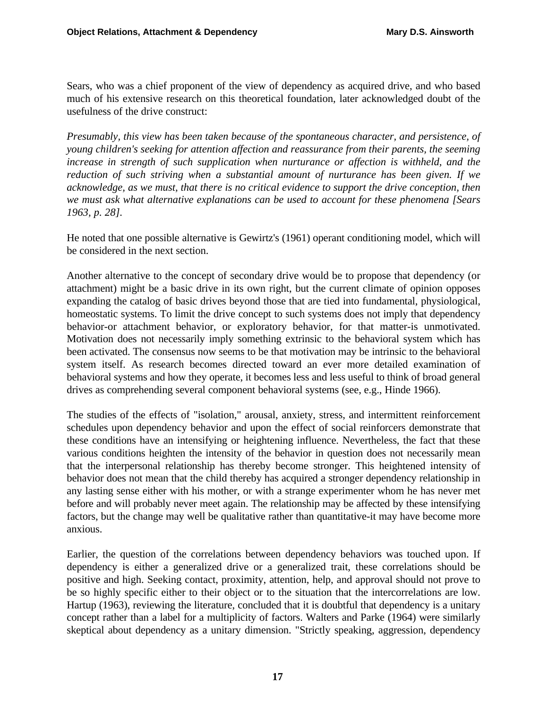Sears, who was a chief proponent of the view of dependency as acquired drive, and who based much of his extensive research on this theoretical foundation, later acknowledged doubt of the usefulness of the drive construct:

*Presumably, this view has been taken because of the spontaneous character, and persistence, of young children's seeking for attention affection and reassurance from their parents, the seeming increase in strength of such supplication when nurturance or affection is withheld, and the reduction of such striving when a substantial amount of nurturance has been given. If we acknowledge, as we must, that there is no critical evidence to support the drive conception, then we must ask what alternative explanations can be used to account for these phenomena [Sears 1963, p. 28].*

He noted that one possible alternative is Gewirtz's (1961) operant conditioning model, which will be considered in the next section.

Another alternative to the concept of secondary drive would be to propose that dependency (or attachment) might be a basic drive in its own right, but the current climate of opinion opposes expanding the catalog of basic drives beyond those that are tied into fundamental, physiological, homeostatic systems. To limit the drive concept to such systems does not imply that dependency behavior-or attachment behavior, or exploratory behavior, for that matter-is unmotivated. Motivation does not necessarily imply something extrinsic to the behavioral system which has been activated. The consensus now seems to be that motivation may be intrinsic to the behavioral system itself. As research becomes directed toward an ever more detailed examination of behavioral systems and how they operate, it becomes less and less useful to think of broad general drives as comprehending several component behavioral systems (see, e.g., Hinde 1966).

The studies of the effects of "isolation," arousal, anxiety, stress, and intermittent reinforcement schedules upon dependency behavior and upon the effect of social reinforcers demonstrate that these conditions have an intensifying or heightening influence. Nevertheless, the fact that these various conditions heighten the intensity of the behavior in question does not necessarily mean that the interpersonal relationship has thereby become stronger. This heightened intensity of behavior does not mean that the child thereby has acquired a stronger dependency relationship in any lasting sense either with his mother, or with a strange experimenter whom he has never met before and will probably never meet again. The relationship may be affected by these intensifying factors, but the change may well be qualitative rather than quantitative-it may have become more anxious.

Earlier, the question of the correlations between dependency behaviors was touched upon. If dependency is either a generalized drive or a generalized trait, these correlations should be positive and high. Seeking contact, proximity, attention, help, and approval should not prove to be so highly specific either to their object or to the situation that the intercorrelations are low. Hartup (1963), reviewing the literature, concluded that it is doubtful that dependency is a unitary concept rather than a label for a multiplicity of factors. Walters and Parke (1964) were similarly skeptical about dependency as a unitary dimension. "Strictly speaking, aggression, dependency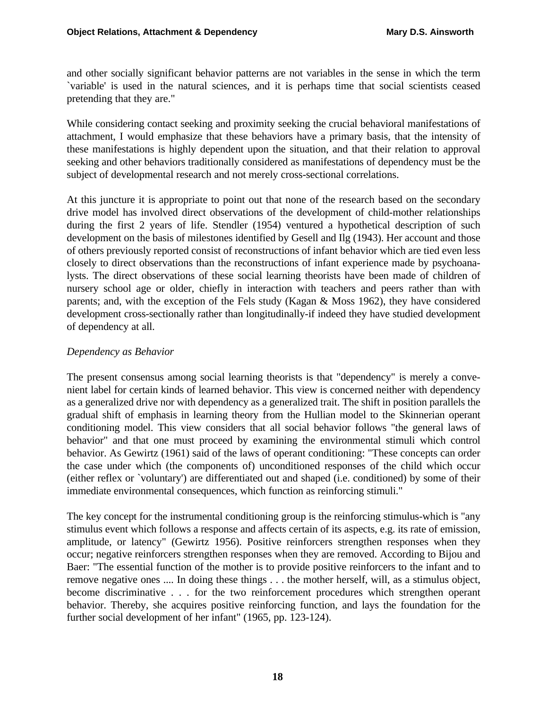and other socially significant behavior patterns are not variables in the sense in which the term `variable' is used in the natural sciences, and it is perhaps time that social scientists ceased pretending that they are."

While considering contact seeking and proximity seeking the crucial behavioral manifestations of attachment, I would emphasize that these behaviors have a primary basis, that the intensity of these manifestations is highly dependent upon the situation, and that their relation to approval seeking and other behaviors traditionally considered as manifestations of dependency must be the subject of developmental research and not merely cross-sectional correlations.

At this juncture it is appropriate to point out that none of the research based on the secondary drive model has involved direct observations of the development of child-mother relationships during the first 2 years of life. Stendler (1954) ventured a hypothetical description of such development on the basis of milestones identified by Gesell and Ilg (1943). Her account and those of others previously reported consist of reconstructions of infant behavior which are tied even less closely to direct observations than the reconstructions of infant experience made by psychoanalysts. The direct observations of these social learning theorists have been made of children of nursery school age or older, chiefly in interaction with teachers and peers rather than with parents; and, with the exception of the Fels study (Kagan & Moss 1962), they have considered development cross-sectionally rather than longitudinally-if indeed they have studied development of dependency at all.

#### *Dependency as Behavior*

The present consensus among social learning theorists is that "dependency" is merely a convenient label for certain kinds of learned behavior. This view is concerned neither with dependency as a generalized drive nor with dependency as a generalized trait. The shift in position parallels the gradual shift of emphasis in learning theory from the Hullian model to the Skinnerian operant conditioning model. This view considers that all social behavior follows "the general laws of behavior" and that one must proceed by examining the environmental stimuli which control behavior. As Gewirtz (1961) said of the laws of operant conditioning: "These concepts can order the case under which (the components of) unconditioned responses of the child which occur (either reflex or `voluntary') are differentiated out and shaped (i.e. conditioned) by some of their immediate environmental consequences, which function as reinforcing stimuli."

The key concept for the instrumental conditioning group is the reinforcing stimulus-which is "any stimulus event which follows a response and affects certain of its aspects, e.g. its rate of emission, amplitude, or latency" (Gewirtz 1956). Positive reinforcers strengthen responses when they occur; negative reinforcers strengthen responses when they are removed. According to Bijou and Baer: "The essential function of the mother is to provide positive reinforcers to the infant and to remove negative ones .... In doing these things . . . the mother herself, will, as a stimulus object, become discriminative . . . for the two reinforcement procedures which strengthen operant behavior. Thereby, she acquires positive reinforcing function, and lays the foundation for the further social development of her infant" (1965, pp. 123-124).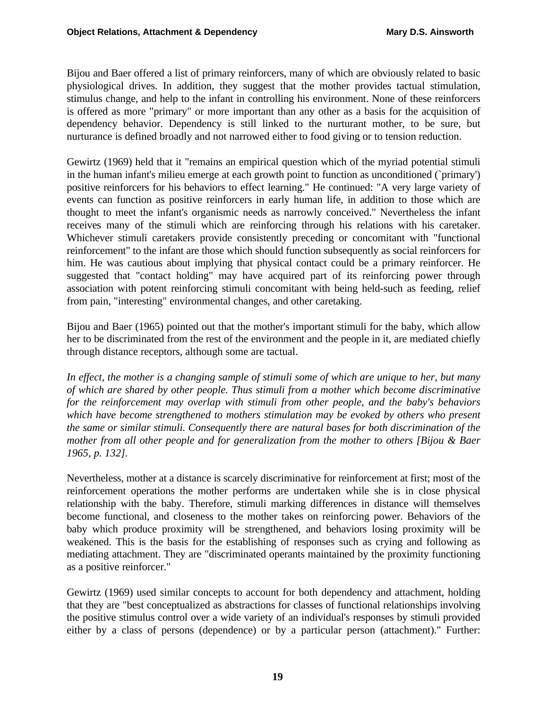Bijou and Baer offered a list of primary reinforcers, many of which are obviously related to basic physiological drives. In addition, they suggest that the mother provides tactual stimulation, stimulus change, and help to the infant in controlling his environment. None of these reinforcers is offered as more "primary" or more important than any other as a basis for the acquisition of dependency behavior. Dependency is still linked to the nurturant mother, to be sure, but nurturance is defined broadly and not narrowed either to food giving or to tension reduction.

Gewirtz (1969) held that it "remains an empirical question which of the myriad potential stimuli in the human infant's milieu emerge at each growth point to function as unconditioned (`primary') positive reinforcers for his behaviors to effect learning." He continued: "A very large variety of events can function as positive reinforcers in early human life, in addition to those which are thought to meet the infant's organismic needs as narrowly conceived." Nevertheless the infant receives many of the stimuli which are reinforcing through his relations with his caretaker. Whichever stimuli caretakers provide consistently preceding or concomitant with "functional reinforcement" to the infant are those which should function subsequently as social reinforcers for him. He was cautious about implying that physical contact could be a primary reinforcer. He suggested that "contact holding" may have acquired part of its reinforcing power through association with potent reinforcing stimuli concomitant with being held-such as feeding, relief from pain, "interesting" environmental changes, and other caretaking.

Bijou and Baer (1965) pointed out that the mother's important stimuli for the baby, which allow her to be discriminated from the rest of the environment and the people in it, are mediated chiefly through distance receptors, although some are tactual.

*In effect, the mother is a changing sample of stimuli some of which are unique to her, but many of which are shared by other people. Thus stimuli from a mother which become discriminative for the reinforcement may overlap with stimuli from other people, and the baby's behaviors which have become strengthened to mothers stimulation may be evoked by others who present the same or similar stimuli. Consequently there are natural bases for both discrimination of the mother from all other people and for generalization from the mother to others [Bijou & Baer 1965, p. 132].*

Nevertheless, mother at a distance is scarcely discriminative for reinforcement at first; most of the reinforcement operations the mother performs are undertaken while she is in close physical relationship with the baby. Therefore, stimuli marking differences in distance will themselves become functional, and closeness to the mother takes on reinforcing power. Behaviors of the baby which produce proximity will be strengthened, and behaviors losing proximity will be weakened. This is the basis for the establishing of responses such as crying and following as mediating attachment. They are "discriminated operants maintained by the proximity functioning as a positive reinforcer."

Gewirtz (1969) used similar concepts to account for both dependency and attachment, holding that they are "best conceptualized as abstractions for classes of functional relationships involving the positive stimulus control over a wide variety of an individual's responses by stimuli provided either by a class of persons (dependence) or by a particular person (attachment)." Further: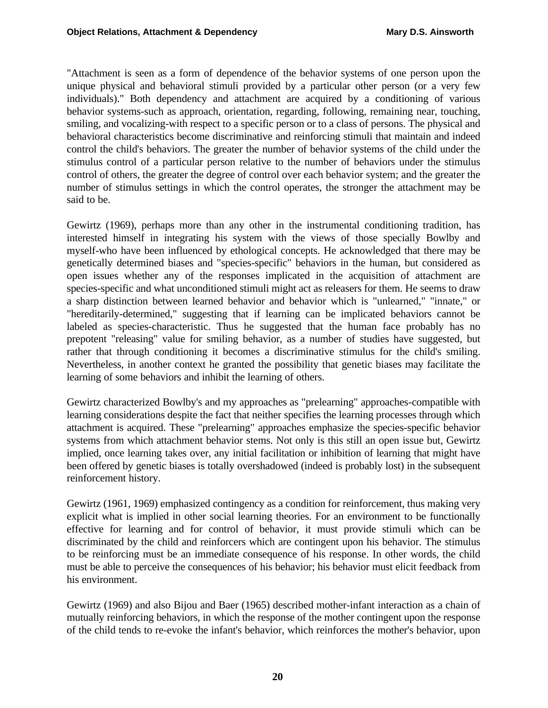"Attachment is seen as a form of dependence of the behavior systems of one person upon the unique physical and behavioral stimuli provided by a particular other person (or a very few individuals)." Both dependency and attachment are acquired by a conditioning of various behavior systems-such as approach, orientation, regarding, following, remaining near, touching, smiling, and vocalizing-with respect to a specific person or to a class of persons. The physical and behavioral characteristics become discriminative and reinforcing stimuli that maintain and indeed control the child's behaviors. The greater the number of behavior systems of the child under the stimulus control of a particular person relative to the number of behaviors under the stimulus control of others, the greater the degree of control over each behavior system; and the greater the number of stimulus settings in which the control operates, the stronger the attachment may be said to be.

Gewirtz (1969), perhaps more than any other in the instrumental conditioning tradition, has interested himself in integrating his system with the views of those specially Bowlby and myself-who have been influenced by ethological concepts. He acknowledged that there may be genetically determined biases and "species-specific" behaviors in the human, but considered as open issues whether any of the responses implicated in the acquisition of attachment are species-specific and what unconditioned stimuli might act as releasers for them. He seems to draw a sharp distinction between learned behavior and behavior which is "unlearned," "innate," or "hereditarily-determined," suggesting that if learning can be implicated behaviors cannot be labeled as species-characteristic. Thus he suggested that the human face probably has no prepotent "releasing" value for smiling behavior, as a number of studies have suggested, but rather that through conditioning it becomes a discriminative stimulus for the child's smiling. Nevertheless, in another context he granted the possibility that genetic biases may facilitate the learning of some behaviors and inhibit the learning of others.

Gewirtz characterized Bowlby's and my approaches as "prelearning" approaches-compatible with learning considerations despite the fact that neither specifies the learning processes through which attachment is acquired. These "prelearning" approaches emphasize the species-specific behavior systems from which attachment behavior stems. Not only is this still an open issue but, Gewirtz implied, once learning takes over, any initial facilitation or inhibition of learning that might have been offered by genetic biases is totally overshadowed (indeed is probably lost) in the subsequent reinforcement history.

Gewirtz (1961, 1969) emphasized contingency as a condition for reinforcement, thus making very explicit what is implied in other social learning theories. For an environment to be functionally effective for learning and for control of behavior, it must provide stimuli which can be discriminated by the child and reinforcers which are contingent upon his behavior. The stimulus to be reinforcing must be an immediate consequence of his response. In other words, the child must be able to perceive the consequences of his behavior; his behavior must elicit feedback from his environment.

Gewirtz (1969) and also Bijou and Baer (1965) described mother-infant interaction as a chain of mutually reinforcing behaviors, in which the response of the mother contingent upon the response of the child tends to re-evoke the infant's behavior, which reinforces the mother's behavior, upon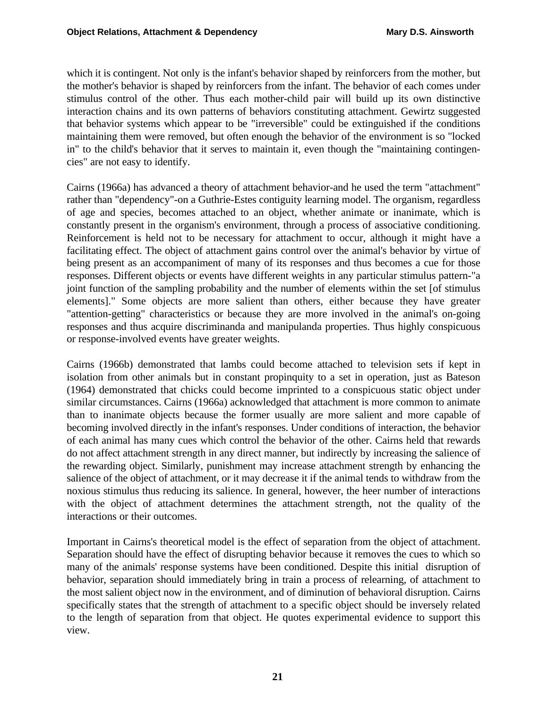which it is contingent. Not only is the infant's behavior shaped by reinforcers from the mother, but the mother's behavior is shaped by reinforcers from the infant. The behavior of each comes under stimulus control of the other. Thus each mother-child pair will build up its own distinctive interaction chains and its own patterns of behaviors constituting attachment. Gewirtz suggested that behavior systems which appear to be "irreversible" could be extinguished if the conditions maintaining them were removed, but often enough the behavior of the environment is so "locked in" to the child's behavior that it serves to maintain it, even though the "maintaining contingencies" are not easy to identify.

Cairns (1966a) has advanced a theory of attachment behavior-and he used the term "attachment" rather than "dependency"-on a Guthrie-Estes contiguity learning model. The organism, regardless of age and species, becomes attached to an object, whether animate or inanimate, which is constantly present in the organism's environment, through a process of associative conditioning. Reinforcement is held not to be necessary for attachment to occur, although it might have a facilitating effect. The object of attachment gains control over the animal's behavior by virtue of being present as an accompaniment of many of its responses and thus becomes a cue for those responses. Different objects or events have different weights in any particular stimulus pattern-"a joint function of the sampling probability and the number of elements within the set [of stimulus elements]." Some objects are more salient than others, either because they have greater "attention-getting" characteristics or because they are more involved in the animal's on-going responses and thus acquire discriminanda and manipulanda properties. Thus highly conspicuous or response-involved events have greater weights.

Cairns (1966b) demonstrated that lambs could become attached to television sets if kept in isolation from other animals but in constant propinquity to a set in operation, just as Bateson (1964) demonstrated that chicks could become imprinted to a conspicuous static object under similar circumstances. Cairns (1966a) acknowledged that attachment is more common to animate than to inanimate objects because the former usually are more salient and more capable of becoming involved directly in the infant's responses. Under conditions of interaction, the behavior of each animal has many cues which control the behavior of the other. Cairns held that rewards do not affect attachment strength in any direct manner, but indirectly by increasing the salience of the rewarding object. Similarly, punishment may increase attachment strength by enhancing the salience of the object of attachment, or it may decrease it if the animal tends to withdraw from the noxious stimulus thus reducing its salience. In general, however, the heer number of interactions with the object of attachment determines the attachment strength, not the quality of the interactions or their outcomes.

Important in Cairns's theoretical model is the effect of separation from the object of attachment. Separation should have the effect of disrupting behavior because it removes the cues to which so many of the animals' response systems have been conditioned. Despite this initial disruption of behavior, separation should immediately bring in train a process of relearning, of attachment to the most salient object now in the environment, and of diminution of behavioral disruption. Cairns specifically states that the strength of attachment to a specific object should be inversely related to the length of separation from that object. He quotes experimental evidence to support this view.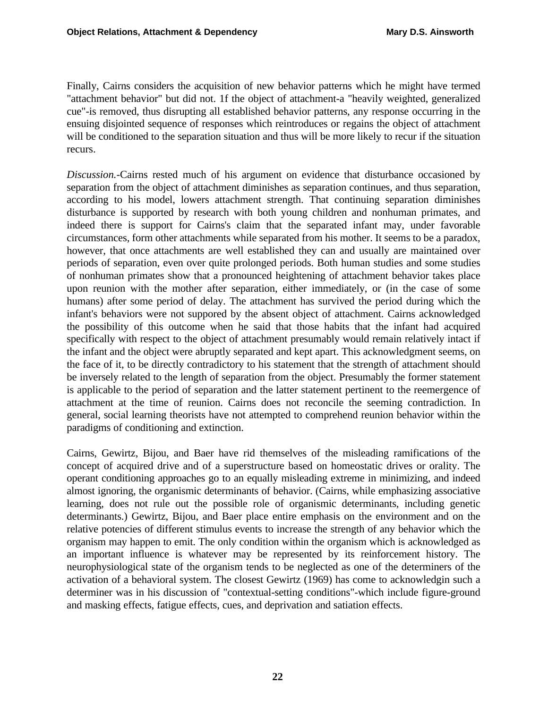Finally, Cairns considers the acquisition of new behavior patterns which he might have termed "attachment behavior" but did not. 1f the object of attachment-a "heavily weighted, generalized cue"-is removed, thus disrupting all established behavior patterns, any response occurring in the ensuing disjointed sequence of responses which reintroduces or regains the object of attachment will be conditioned to the separation situation and thus will be more likely to recur if the situation recurs.

*Discussion.-*Cairns rested much of his argument on evidence that disturbance occasioned by separation from the object of attachment diminishes as separation continues, and thus separation, according to his model, lowers attachment strength. That continuing separation diminishes disturbance is supported by research with both young children and nonhuman primates, and indeed there is support for Cairns's claim that the separated infant may, under favorable circumstances, form other attachments while separated from his mother. It seems to be a paradox, however, that once attachments are well established they can and usually are maintained over periods of separation, even over quite prolonged periods. Both human studies and some studies of nonhuman primates show that a pronounced heightening of attachment behavior takes place upon reunion with the mother after separation, either immediately, or (in the case of some humans) after some period of delay. The attachment has survived the period during which the infant's behaviors were not suppored by the absent object of attachment. Cairns acknowledged the possibility of this outcome when he said that those habits that the infant had acquired specifically with respect to the object of attachment presumably would remain relatively intact if the infant and the object were abruptly separated and kept apart. This acknowledgment seems, on the face of it, to be directly contradictory to his statement that the strength of attachment should be inversely related to the length of separation from the object. Presumably the former statement is applicable to the period of separation and the latter statement pertinent to the reemergence of attachment at the time of reunion. Cairns does not reconcile the seeming contradiction. In general, social learning theorists have not attempted to comprehend reunion behavior within the paradigms of conditioning and extinction.

Cairns, Gewirtz, Bijou, and Baer have rid themselves of the misleading ramifications of the concept of acquired drive and of a superstructure based on homeostatic drives or orality. The operant conditioning approaches go to an equally misleading extreme in minimizing, and indeed almost ignoring, the organismic determinants of behavior. (Cairns, while emphasizing associative learning, does not rule out the possible role of organismic determinants, including genetic determinants.) Gewirtz, Bijou, and Baer place entire emphasis on the environment and on the relative potencies of different stimulus events to increase the strength of any behavior which the organism may happen to emit. The only condition within the organism which is acknowledged as an important influence is whatever may be represented by its reinforcement history. The neurophysiological state of the organism tends to be neglected as one of the determiners of the activation of a behavioral system. The closest Gewirtz (1969) has come to acknowledgin such a determiner was in his discussion of "contextual-setting conditions"-which include figure-ground and masking effects, fatigue effects, cues, and deprivation and satiation effects.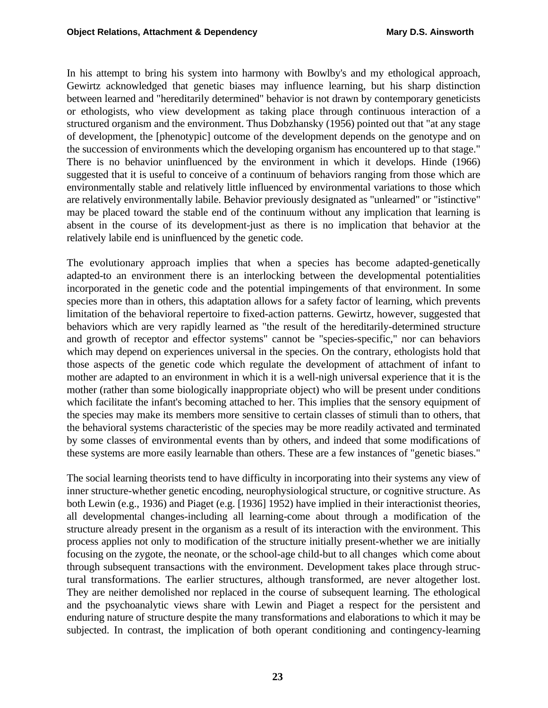In his attempt to bring his system into harmony with Bowlby's and my ethological approach, Gewirtz acknowledged that genetic biases may influence learning, but his sharp distinction between learned and "hereditarily determined" behavior is not drawn by contemporary geneticists or ethologists, who view development as taking place through continuous interaction of a structured organism and the environment. Thus Dobzhansky (1956) pointed out that "at any stage of development, the [phenotypic] outcome of the development depends on the genotype and on the succession of environments which the developing organism has encountered up to that stage." There is no behavior uninfluenced by the environment in which it develops. Hinde (1966) suggested that it is useful to conceive of a continuum of behaviors ranging from those which are environmentally stable and relatively little influenced by environmental variations to those which are relatively environmentally labile. Behavior previously designated as "unlearned" or "istinctive" may be placed toward the stable end of the continuum without any implication that learning is absent in the course of its development-just as there is no implication that behavior at the relatively labile end is uninfluenced by the genetic code.

The evolutionary approach implies that when a species has become adapted-genetically adapted-to an environment there is an interlocking between the developmental potentialities incorporated in the genetic code and the potential impingements of that environment. In some species more than in others, this adaptation allows for a safety factor of learning, which prevents limitation of the behavioral repertoire to fixed-action patterns. Gewirtz, however, suggested that behaviors which are very rapidly learned as "the result of the hereditarily-determined structure and growth of receptor and effector systems" cannot be "species-specific," nor can behaviors which may depend on experiences universal in the species. On the contrary, ethologists hold that those aspects of the genetic code which regulate the development of attachment of infant to mother are adapted to an environment in which it is a well-nigh universal experience that it is the mother (rather than some biologically inappropriate object) who will be present under conditions which facilitate the infant's becoming attached to her. This implies that the sensory equipment of the species may make its members more sensitive to certain classes of stimuli than to others, that the behavioral systems characteristic of the species may be more readily activated and terminated by some classes of environmental events than by others, and indeed that some modifications of these systems are more easily learnable than others. These are a few instances of "genetic biases."

The social learning theorists tend to have difficulty in incorporating into their systems any view of inner structure-whether genetic encoding, neurophysiological structure, or cognitive structure. As both Lewin (e.g., 1936) and Piaget (e.g. [1936] 1952) have implied in their interactionist theories, all developmental changes-including all learning-come about through a modification of the structure already present in the organism as a result of its interaction with the environment. This process applies not only to modification of the structure initially present-whether we are initially focusing on the zygote, the neonate, or the school-age child-but to all changes which come about through subsequent transactions with the environment. Development takes place through structural transformations. The earlier structures, although transformed, are never altogether lost. They are neither demolished nor replaced in the course of subsequent learning. The ethological and the psychoanalytic views share with Lewin and Piaget a respect for the persistent and enduring nature of structure despite the many transformations and elaborations to which it may be subjected. In contrast, the implication of both operant conditioning and contingency-learning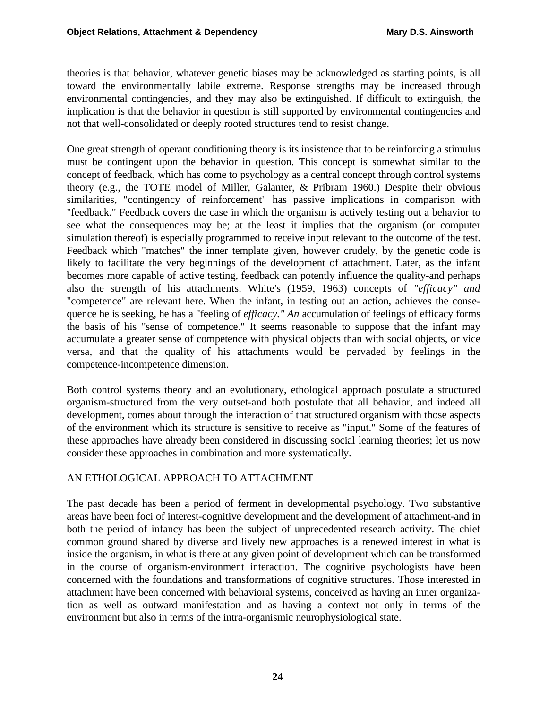theories is that behavior, whatever genetic biases may be acknowledged as starting points, is all toward the environmentally labile extreme. Response strengths may be increased through environmental contingencies, and they may also be extinguished. If difficult to extinguish, the implication is that the behavior in question is still supported by environmental contingencies and not that well-consolidated or deeply rooted structures tend to resist change.

One great strength of operant conditioning theory is its insistence that to be reinforcing a stimulus must be contingent upon the behavior in question. This concept is somewhat similar to the concept of feedback, which has come to psychology as a central concept through control systems theory (e.g., the TOTE model of Miller, Galanter, & Pribram 1960.) Despite their obvious similarities, "contingency of reinforcement" has passive implications in comparison with "feedback." Feedback covers the case in which the organism is actively testing out a behavior to see what the consequences may be; at the least it implies that the organism (or computer simulation thereof) is especially programmed to receive input relevant to the outcome of the test. Feedback which "matches" the inner template given, however crudely, by the genetic code is likely to facilitate the very beginnings of the development of attachment. Later, as the infant becomes more capable of active testing, feedback can potently influence the quality-and perhaps also the strength of his attachments. White's (1959, 1963) concepts of *"efficacy" and* "competence" are relevant here. When the infant, in testing out an action, achieves the consequence he is seeking, he has a "feeling of *efficacy." An* accumulation of feelings of efficacy forms the basis of his "sense of competence." It seems reasonable to suppose that the infant may accumulate a greater sense of competence with physical objects than with social objects, or vice versa, and that the quality of his attachments would be pervaded by feelings in the competence-incompetence dimension.

Both control systems theory and an evolutionary, ethological approach postulate a structured organism-structured from the very outset-and both postulate that all behavior, and indeed all development, comes about through the interaction of that structured organism with those aspects of the environment which its structure is sensitive to receive as "input." Some of the features of these approaches have already been considered in discussing social learning theories; let us now consider these approaches in combination and more systematically.

#### AN ETHOLOGICAL APPROACH TO ATTACHMENT

The past decade has been a period of ferment in developmental psychology. Two substantive areas have been foci of interest-cognitive development and the development of attachment-and in both the period of infancy has been the subject of unprecedented research activity. The chief common ground shared by diverse and lively new approaches is a renewed interest in what is inside the organism, in what is there at any given point of development which can be transformed in the course of organism-environment interaction. The cognitive psychologists have been concerned with the foundations and transformations of cognitive structures. Those interested in attachment have been concerned with behavioral systems, conceived as having an inner organization as well as outward manifestation and as having a context not only in terms of the environment but also in terms of the intra-organismic neurophysiological state.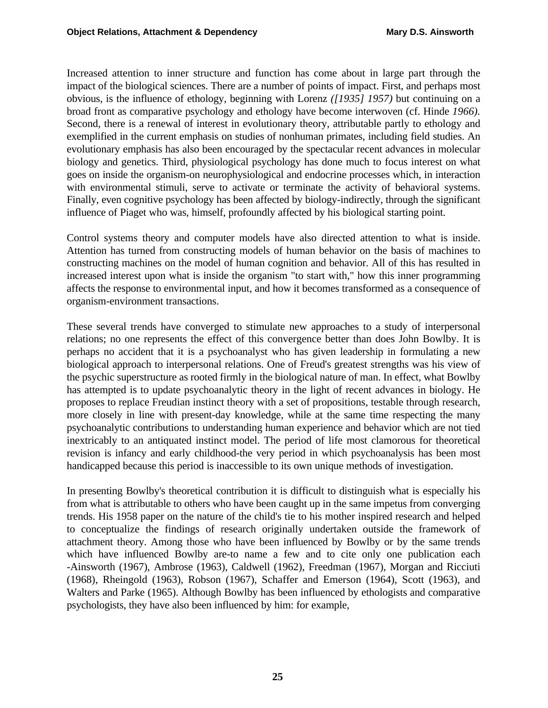Increased attention to inner structure and function has come about in large part through the impact of the biological sciences. There are a number of points of impact. First, and perhaps most obvious, is the influence of ethology, beginning with Lorenz *([1935] 1957)* but continuing on a broad front as comparative psychology and ethology have become interwoven (cf. Hinde *1966).* Second, there is a renewal of interest in evolutionary theory, attributable partly to ethology and exemplified in the current emphasis on studies of nonhuman primates, including field studies. An evolutionary emphasis has also been encouraged by the spectacular recent advances in molecular biology and genetics. Third, physiological psychology has done much to focus interest on what goes on inside the organism-on neurophysiological and endocrine processes which, in interaction with environmental stimuli, serve to activate or terminate the activity of behavioral systems. Finally, even cognitive psychology has been affected by biology-indirectly, through the significant influence of Piaget who was, himself, profoundly affected by his biological starting point.

Control systems theory and computer models have also directed attention to what is inside. Attention has turned from constructing models of human behavior on the basis of machines to constructing machines on the model of human cognition and behavior. All of this has resulted in increased interest upon what is inside the organism "to start with," how this inner programming affects the response to environmental input, and how it becomes transformed as a consequence of organism-environment transactions.

These several trends have converged to stimulate new approaches to a study of interpersonal relations; no one represents the effect of this convergence better than does John Bowlby. It is perhaps no accident that it is a psychoanalyst who has given leadership in formulating a new biological approach to interpersonal relations. One of Freud's greatest strengths was his view of the psychic superstructure as rooted firmly in the biological nature of man. In effect, what Bowlby has attempted is to update psychoanalytic theory in the light of recent advances in biology. He proposes to replace Freudian instinct theory with a set of propositions, testable through research, more closely in line with present-day knowledge, while at the same time respecting the many psychoanalytic contributions to understanding human experience and behavior which are not tied inextricably to an antiquated instinct model. The period of life most clamorous for theoretical revision is infancy and early childhood-the very period in which psychoanalysis has been most handicapped because this period is inaccessible to its own unique methods of investigation.

In presenting Bowlby's theoretical contribution it is difficult to distinguish what is especially his from what is attributable to others who have been caught up in the same impetus from converging trends. His 1958 paper on the nature of the child's tie to his mother inspired research and helped to conceptualize the findings of research originally undertaken outside the framework of attachment theory. Among those who have been influenced by Bowlby or by the same trends which have influenced Bowlby are-to name a few and to cite only one publication each -Ainsworth (1967), Ambrose (1963), Caldwell (1962), Freedman (1967), Morgan and Ricciuti (1968), Rheingold (1963), Robson (1967), Schaffer and Emerson (1964), Scott (1963), and Walters and Parke (1965). Although Bowlby has been influenced by ethologists and comparative psychologists, they have also been influenced by him: for example,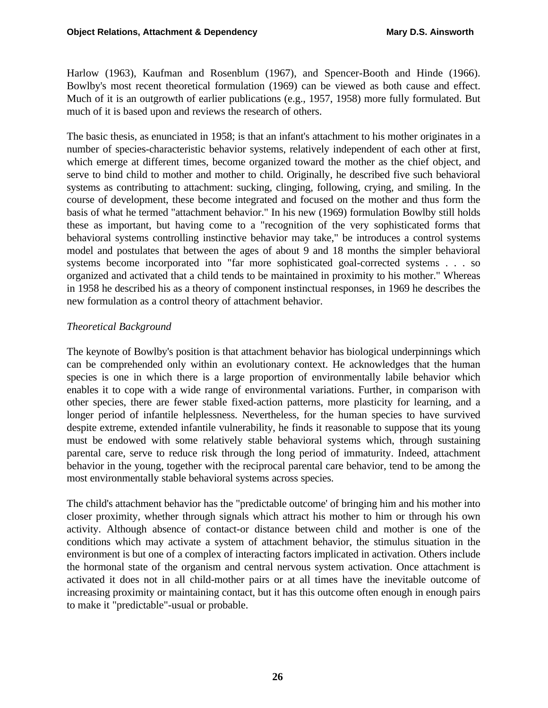Harlow (1963), Kaufman and Rosenblum (1967), and Spencer-Booth and Hinde (1966). Bowlby's most recent theoretical formulation (1969) can be viewed as both cause and effect. Much of it is an outgrowth of earlier publications (e.g., 1957, 1958) more fully formulated. But much of it is based upon and reviews the research of others.

The basic thesis, as enunciated in 1958; is that an infant's attachment to his mother originates in a number of species-characteristic behavior systems, relatively independent of each other at first, which emerge at different times, become organized toward the mother as the chief object, and serve to bind child to mother and mother to child. Originally, he described five such behavioral systems as contributing to attachment: sucking, clinging, following, crying, and smiling. In the course of development, these become integrated and focused on the mother and thus form the basis of what he termed "attachment behavior." In his new (1969) formulation Bowlby still holds these as important, but having come to a "recognition of the very sophisticated forms that behavioral systems controlling instinctive behavior may take," be introduces a control systems model and postulates that between the ages of about 9 and 18 months the simpler behavioral systems become incorporated into "far more sophisticated goal-corrected systems . . . so organized and activated that a child tends to be maintained in proximity to his mother." Whereas in 1958 he described his as a theory of component instinctual responses, in 1969 he describes the new formulation as a control theory of attachment behavior.

#### *Theoretical Background*

The keynote of Bowlby's position is that attachment behavior has biological underpinnings which can be comprehended only within an evolutionary context. He acknowledges that the human species is one in which there is a large proportion of environmentally labile behavior which enables it to cope with a wide range of environmental variations. Further, in comparison with other species, there are fewer stable fixed-action patterns, more plasticity for learning, and a longer period of infantile helplessness. Nevertheless, for the human species to have survived despite extreme, extended infantile vulnerability, he finds it reasonable to suppose that its young must be endowed with some relatively stable behavioral systems which, through sustaining parental care, serve to reduce risk through the long period of immaturity. Indeed, attachment behavior in the young, together with the reciprocal parental care behavior, tend to be among the most environmentally stable behavioral systems across species.

The child's attachment behavior has the "predictable outcome' of bringing him and his mother into closer proximity, whether through signals which attract his mother to him or through his own activity. Although absence of contact-or distance between child and mother is one of the conditions which may activate a system of attachment behavior, the stimulus situation in the environment is but one of a complex of interacting factors implicated in activation. Others include the hormonal state of the organism and central nervous system activation. Once attachment is activated it does not in all child-mother pairs or at all times have the inevitable outcome of increasing proximity or maintaining contact, but it has this outcome often enough in enough pairs to make it "predictable"-usual or probable.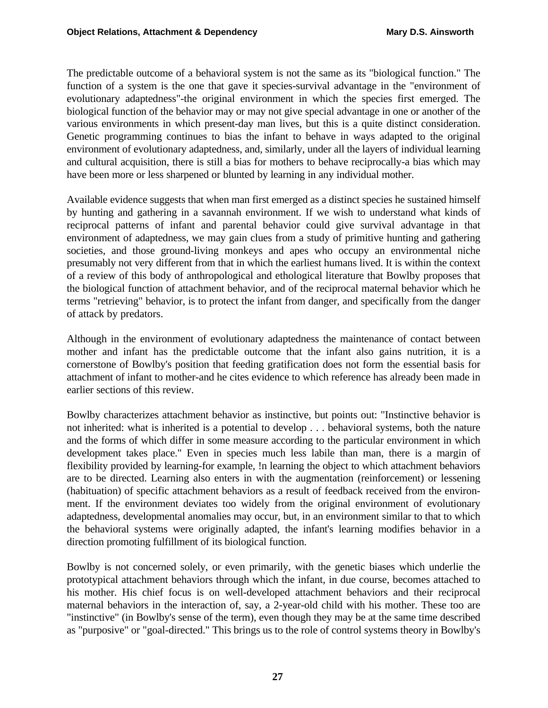The predictable outcome of a behavioral system is not the same as its "biological function." The function of a system is the one that gave it species-survival advantage in the "environment of evolutionary adaptedness"-the original environment in which the species first emerged. The biological function of the behavior may or may not give special advantage in one or another of the various environments in which present-day man lives, but this is a quite distinct consideration. Genetic programming continues to bias the infant to behave in ways adapted to the original environment of evolutionary adaptedness, and, similarly, under all the layers of individual learning and cultural acquisition, there is still a bias for mothers to behave reciprocally-a bias which may have been more or less sharpened or blunted by learning in any individual mother.

Available evidence suggests that when man first emerged as a distinct species he sustained himself by hunting and gathering in a savannah environment. If we wish to understand what kinds of reciprocal patterns of infant and parental behavior could give survival advantage in that environment of adaptedness, we may gain clues from a study of primitive hunting and gathering societies, and those ground-living monkeys and apes who occupy an environmental niche presumably not very different from that in which the earliest humans lived. It is within the context of a review of this body of anthropological and ethological literature that Bowlby proposes that the biological function of attachment behavior, and of the reciprocal maternal behavior which he terms "retrieving" behavior, is to protect the infant from danger, and specifically from the danger of attack by predators.

Although in the environment of evolutionary adaptedness the maintenance of contact between mother and infant has the predictable outcome that the infant also gains nutrition, it is a cornerstone of Bowlby's position that feeding gratification does not form the essential basis for attachment of infant to mother-and he cites evidence to which reference has already been made in earlier sections of this review.

Bowlby characterizes attachment behavior as instinctive, but points out: "Instinctive behavior is not inherited: what is inherited is a potential to develop . . . behavioral systems, both the nature and the forms of which differ in some measure according to the particular environment in which development takes place." Even in species much less labile than man, there is a margin of flexibility provided by learning-for example, !n learning the object to which attachment behaviors are to be directed. Learning also enters in with the augmentation (reinforcement) or lessening (habituation) of specific attachment behaviors as a result of feedback received from the environment. If the environment deviates too widely from the original environment of evolutionary adaptedness, developmental anomalies may occur, but, in an environment similar to that to which the behavioral systems were originally adapted, the infant's learning modifies behavior in a direction promoting fulfillment of its biological function.

Bowlby is not concerned solely, or even primarily, with the genetic biases which underlie the prototypical attachment behaviors through which the infant, in due course, becomes attached to his mother. His chief focus is on well-developed attachment behaviors and their reciprocal maternal behaviors in the interaction of, say, a 2-year-old child with his mother. These too are "instinctive" (in Bowlby's sense of the term), even though they may be at the same time described as "purposive" or "goal-directed." This brings us to the role of control systems theory in Bowlby's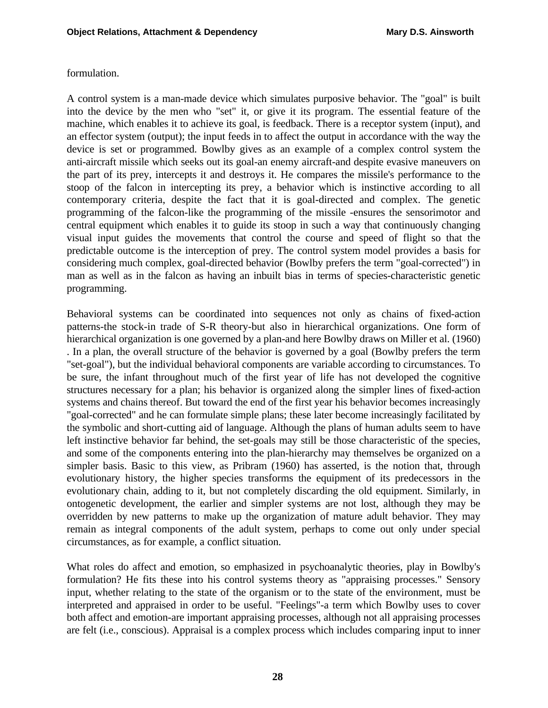#### formulation.

A control system is a man-made device which simulates purposive behavior. The "goal" is built into the device by the men who "set" it, or give it its program. The essential feature of the machine, which enables it to achieve its goal, is feedback. There is a receptor system (input), and an effector system (output); the input feeds in to affect the output in accordance with the way the device is set or programmed. Bowlby gives as an example of a complex control system the anti-aircraft missile which seeks out its goal-an enemy aircraft-and despite evasive maneuvers on the part of its prey, intercepts it and destroys it. He compares the missile's performance to the stoop of the falcon in intercepting its prey, a behavior which is instinctive according to all contemporary criteria, despite the fact that it is goal-directed and complex. The genetic programming of the falcon-like the programming of the missile -ensures the sensorimotor and central equipment which enables it to guide its stoop in such a way that continuously changing visual input guides the movements that control the course and speed of flight so that the predictable outcome is the interception of prey. The control system model provides a basis for considering much complex, goal-directed behavior (Bowlby prefers the term "goal-corrected") in man as well as in the falcon as having an inbuilt bias in terms of species-characteristic genetic programming.

Behavioral systems can be coordinated into sequences not only as chains of fixed-action patterns-the stock-in trade of S-R theory-but also in hierarchical organizations. One form of hierarchical organization is one governed by a plan-and here Bowlby draws on Miller et al. (1960) . In a plan, the overall structure of the behavior is governed by a goal (Bowlby prefers the term "set-goal"), but the individual behavioral components are variable according to circumstances. To be sure, the infant throughout much of the first year of life has not developed the cognitive structures necessary for a plan; his behavior is organized along the simpler lines of fixed-action systems and chains thereof. But toward the end of the first year his behavior becomes increasingly "goal-corrected" and he can formulate simple plans; these later become increasingly facilitated by the symbolic and short-cutting aid of language. Although the plans of human adults seem to have left instinctive behavior far behind, the set-goals may still be those characteristic of the species, and some of the components entering into the plan-hierarchy may themselves be organized on a simpler basis. Basic to this view, as Pribram (1960) has asserted, is the notion that, through evolutionary history, the higher species transforms the equipment of its predecessors in the evolutionary chain, adding to it, but not completely discarding the old equipment. Similarly, in ontogenetic development, the earlier and simpler systems are not lost, although they may be overridden by new patterns to make up the organization of mature adult behavior. They may remain as integral components of the adult system, perhaps to come out only under special circumstances, as for example, a conflict situation.

What roles do affect and emotion, so emphasized in psychoanalytic theories, play in Bowlby's formulation? He fits these into his control systems theory as "appraising processes." Sensory input, whether relating to the state of the organism or to the state of the environment, must be interpreted and appraised in order to be useful. "Feelings"-a term which Bowlby uses to cover both affect and emotion-are important appraising processes, although not all appraising processes are felt (i.e., conscious). Appraisal is a complex process which includes comparing input to inner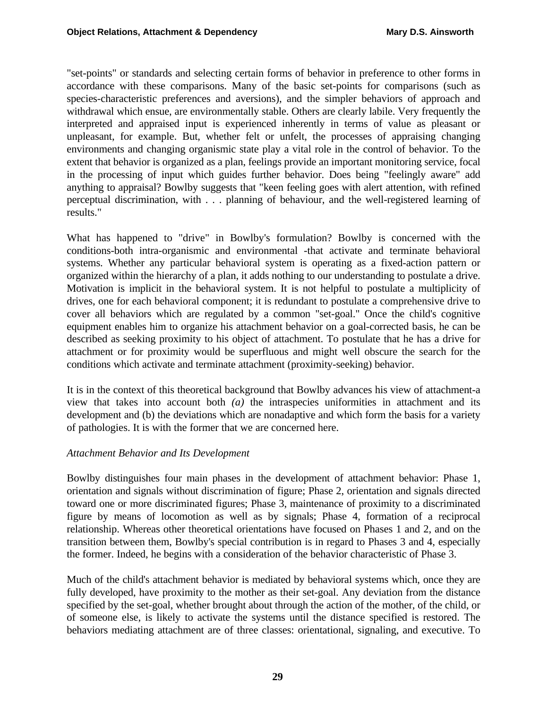"set-points" or standards and selecting certain forms of behavior in preference to other forms in accordance with these comparisons. Many of the basic set-points for comparisons (such as species-characteristic preferences and aversions), and the simpler behaviors of approach and withdrawal which ensue, are environmentally stable. Others are clearly labile. Very frequently the interpreted and appraised input is experienced inherently in terms of value as pleasant or unpleasant, for example. But, whether felt or unfelt, the processes of appraising changing environments and changing organismic state play a vital role in the control of behavior. To the extent that behavior is organized as a plan, feelings provide an important monitoring service, focal in the processing of input which guides further behavior. Does being "feelingly aware" add anything to appraisal? Bowlby suggests that "keen feeling goes with alert attention, with refined perceptual discrimination, with . . . planning of behaviour, and the well-registered learning of results."

What has happened to "drive" in Bowlby's formulation? Bowlby is concerned with the conditions-both intra-organismic and environmental -that activate and terminate behavioral systems. Whether any particular behavioral system is operating as a fixed-action pattern or organized within the hierarchy of a plan, it adds nothing to our understanding to postulate a drive. Motivation is implicit in the behavioral system. It is not helpful to postulate a multiplicity of drives, one for each behavioral component; it is redundant to postulate a comprehensive drive to cover all behaviors which are regulated by a common "set-goal." Once the child's cognitive equipment enables him to organize his attachment behavior on a goal-corrected basis, he can be described as seeking proximity to his object of attachment. To postulate that he has a drive for attachment or for proximity would be superfluous and might well obscure the search for the conditions which activate and terminate attachment (proximity-seeking) behavior.

It is in the context of this theoretical background that Bowlby advances his view of attachment-a view that takes into account both *(a)* the intraspecies uniformities in attachment and its development and (b) the deviations which are nonadaptive and which form the basis for a variety of pathologies. It is with the former that we are concerned here.

#### *Attachment Behavior and Its Development*

Bowlby distinguishes four main phases in the development of attachment behavior: Phase 1, orientation and signals without discrimination of figure; Phase 2, orientation and signals directed toward one or more discriminated figures; Phase 3, maintenance of proximity to a discriminated figure by means of locomotion as well as by signals; Phase 4, formation of a reciprocal relationship. Whereas other theoretical orientations have focused on Phases 1 and 2, and on the transition between them, Bowlby's special contribution is in regard to Phases 3 and 4, especially the former. Indeed, he begins with a consideration of the behavior characteristic of Phase 3.

Much of the child's attachment behavior is mediated by behavioral systems which, once they are fully developed, have proximity to the mother as their set-goal. Any deviation from the distance specified by the set-goal, whether brought about through the action of the mother, of the child, or of someone else, is likely to activate the systems until the distance specified is restored. The behaviors mediating attachment are of three classes: orientational, signaling, and executive. To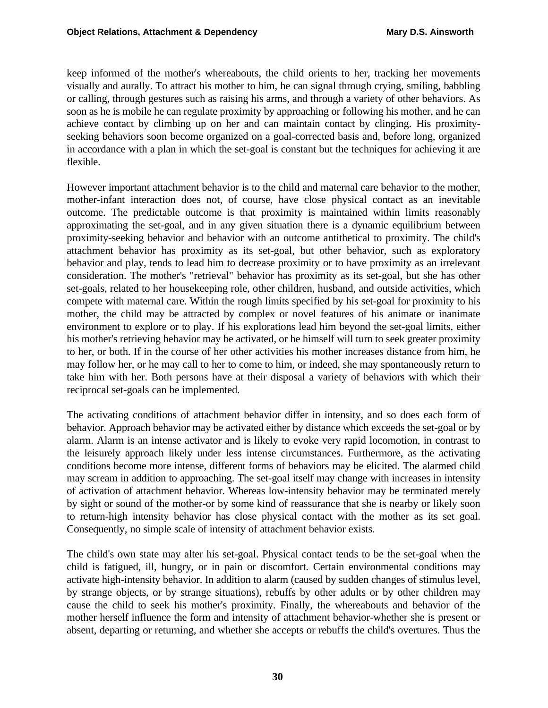keep informed of the mother's whereabouts, the child orients to her, tracking her movements visually and aurally. To attract his mother to him, he can signal through crying, smiling, babbling or calling, through gestures such as raising his arms, and through a variety of other behaviors. As soon as he is mobile he can regulate proximity by approaching or following his mother, and he can achieve contact by climbing up on her and can maintain contact by clinging. His proximityseeking behaviors soon become organized on a goal-corrected basis and, before long, organized in accordance with a plan in which the set-goal is constant but the techniques for achieving it are flexible.

However important attachment behavior is to the child and maternal care behavior to the mother, mother-infant interaction does not, of course, have close physical contact as an inevitable outcome. The predictable outcome is that proximity is maintained within limits reasonably approximating the set-goal, and in any given situation there is a dynamic equilibrium between proximity-seeking behavior and behavior with an outcome antithetical to proximity. The child's attachment behavior has proximity as its set-goal, but other behavior, such as exploratory behavior and play, tends to lead him to decrease proximity or to have proximity as an irrelevant consideration. The mother's "retrieval" behavior has proximity as its set-goal, but she has other set-goals, related to her housekeeping role, other children, husband, and outside activities, which compete with maternal care. Within the rough limits specified by his set-goal for proximity to his mother, the child may be attracted by complex or novel features of his animate or inanimate environment to explore or to play. If his explorations lead him beyond the set-goal limits, either his mother's retrieving behavior may be activated, or he himself will turn to seek greater proximity to her, or both. If in the course of her other activities his mother increases distance from him, he may follow her, or he may call to her to come to him, or indeed, she may spontaneously return to take him with her. Both persons have at their disposal a variety of behaviors with which their reciprocal set-goals can be implemented.

The activating conditions of attachment behavior differ in intensity, and so does each form of behavior. Approach behavior may be activated either by distance which exceeds the set-goal or by alarm. Alarm is an intense activator and is likely to evoke very rapid locomotion, in contrast to the leisurely approach likely under less intense circumstances. Furthermore, as the activating conditions become more intense, different forms of behaviors may be elicited. The alarmed child may scream in addition to approaching. The set-goal itself may change with increases in intensity of activation of attachment behavior. Whereas low-intensity behavior may be terminated merely by sight or sound of the mother-or by some kind of reassurance that she is nearby or likely soon to return-high intensity behavior has close physical contact with the mother as its set goal. Consequently, no simple scale of intensity of attachment behavior exists.

The child's own state may alter his set-goal. Physical contact tends to be the set-goal when the child is fatigued, ill, hungry, or in pain or discomfort. Certain environmental conditions may activate high-intensity behavior. In addition to alarm (caused by sudden changes of stimulus level, by strange objects, or by strange situations), rebuffs by other adults or by other children may cause the child to seek his mother's proximity. Finally, the whereabouts and behavior of the mother herself influence the form and intensity of attachment behavior-whether she is present or absent, departing or returning, and whether she accepts or rebuffs the child's overtures. Thus the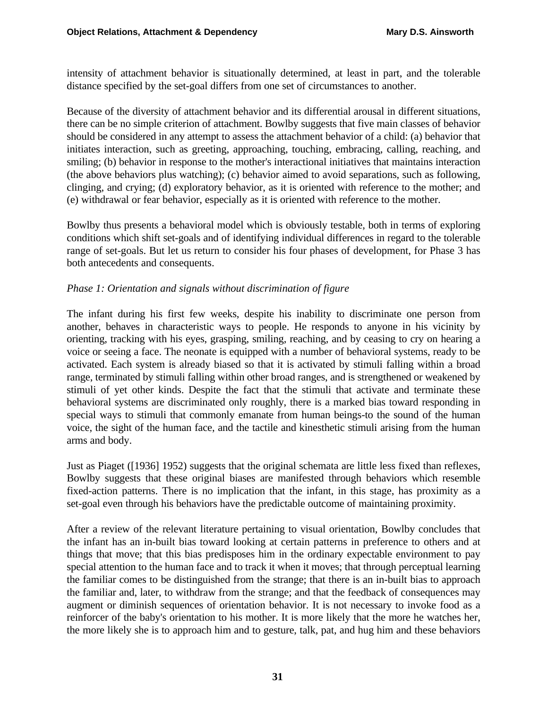intensity of attachment behavior is situationally determined, at least in part, and the tolerable distance specified by the set-goal differs from one set of circumstances to another.

Because of the diversity of attachment behavior and its differential arousal in different situations, there can be no simple criterion of attachment. Bowlby suggests that five main classes of behavior should be considered in any attempt to assess the attachment behavior of a child: (a) behavior that initiates interaction, such as greeting, approaching, touching, embracing, calling, reaching, and smiling; (b) behavior in response to the mother's interactional initiatives that maintains interaction (the above behaviors plus watching); (c) behavior aimed to avoid separations, such as following, clinging, and crying; (d) exploratory behavior, as it is oriented with reference to the mother; and (e) withdrawal or fear behavior, especially as it is oriented with reference to the mother.

Bowlby thus presents a behavioral model which is obviously testable, both in terms of exploring conditions which shift set-goals and of identifying individual differences in regard to the tolerable range of set-goals. But let us return to consider his four phases of development, for Phase 3 has both antecedents and consequents.

#### *Phase 1: Orientation and signals without discrimination of figure*

The infant during his first few weeks, despite his inability to discriminate one person from another, behaves in characteristic ways to people. He responds to anyone in his vicinity by orienting, tracking with his eyes, grasping, smiling, reaching, and by ceasing to cry on hearing a voice or seeing a face. The neonate is equipped with a number of behavioral systems, ready to be activated. Each system is already biased so that it is activated by stimuli falling within a broad range, terminated by stimuli falling within other broad ranges, and is strengthened or weakened by stimuli of yet other kinds. Despite the fact that the stimuli that activate and terminate these behavioral systems are discriminated only roughly, there is a marked bias toward responding in special ways to stimuli that commonly emanate from human beings-to the sound of the human voice, the sight of the human face, and the tactile and kinesthetic stimuli arising from the human arms and body.

Just as Piaget ([1936] 1952) suggests that the original schemata are little less fixed than reflexes, Bowlby suggests that these original biases are manifested through behaviors which resemble fixed-action patterns. There is no implication that the infant, in this stage, has proximity as a set-goal even through his behaviors have the predictable outcome of maintaining proximity.

After a review of the relevant literature pertaining to visual orientation, Bowlby concludes that the infant has an in-built bias toward looking at certain patterns in preference to others and at things that move; that this bias predisposes him in the ordinary expectable environment to pay special attention to the human face and to track it when it moves; that through perceptual learning the familiar comes to be distinguished from the strange; that there is an in-built bias to approach the familiar and, later, to withdraw from the strange; and that the feedback of consequences may augment or diminish sequences of orientation behavior. It is not necessary to invoke food as a reinforcer of the baby's orientation to his mother. It is more likely that the more he watches her, the more likely she is to approach him and to gesture, talk, pat, and hug him and these behaviors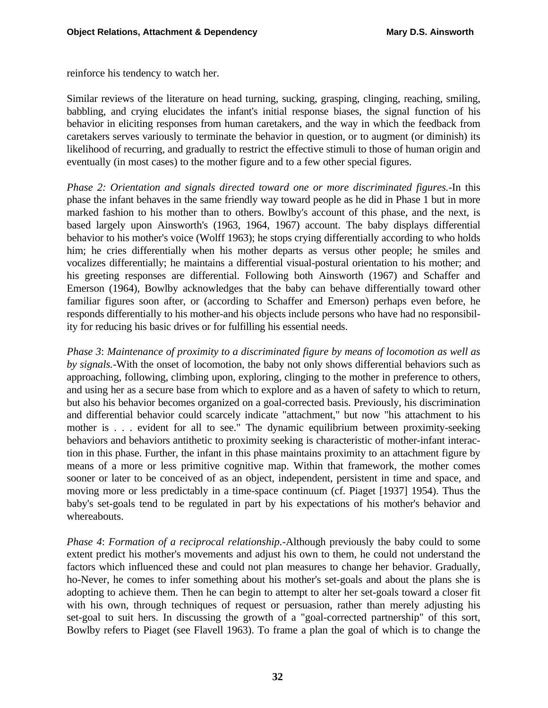reinforce his tendency to watch her.

Similar reviews of the literature on head turning, sucking, grasping, clinging, reaching, smiling, babbling, and crying elucidates the infant's initial response biases, the signal function of his behavior in eliciting responses from human caretakers, and the way in which the feedback from caretakers serves variously to terminate the behavior in question, or to augment (or diminish) its likelihood of recurring, and gradually to restrict the effective stimuli to those of human origin and eventually (in most cases) to the mother figure and to a few other special figures.

*Phase 2: Orientation and signals directed toward one or more discriminated figures.*-In this phase the infant behaves in the same friendly way toward people as he did in Phase 1 but in more marked fashion to his mother than to others. Bowlby's account of this phase, and the next, is based largely upon Ainsworth's (1963, 1964, 1967) account. The baby displays differential behavior to his mother's voice (Wolff 1963); he stops crying differentially according to who holds him; he cries differentially when his mother departs as versus other people; he smiles and vocalizes differentially; he maintains a differential visual-postural orientation to his mother; and his greeting responses are differential. Following both Ainsworth (1967) and Schaffer and Emerson (1964), Bowlby acknowledges that the baby can behave differentially toward other familiar figures soon after, or (according to Schaffer and Emerson) perhaps even before, he responds differentially to his mother-and his objects include persons who have had no responsibility for reducing his basic drives or for fulfilling his essential needs.

*Phase 3*: *Maintenance of proximity to a discriminated figure by means of locomotion as well as by signals.*-With the onset of locomotion, the baby not only shows differential behaviors such as approaching, following, climbing upon, exploring, clinging to the mother in preference to others, and using her as a secure base from which to explore and as a haven of safety to which to return, but also his behavior becomes organized on a goal-corrected basis. Previously, his discrimination and differential behavior could scarcely indicate "attachment," but now "his attachment to his mother is . . . evident for all to see." The dynamic equilibrium between proximity-seeking behaviors and behaviors antithetic to proximity seeking is characteristic of mother-infant interaction in this phase. Further, the infant in this phase maintains proximity to an attachment figure by means of a more or less primitive cognitive map. Within that framework, the mother comes sooner or later to be conceived of as an object, independent, persistent in time and space, and moving more or less predictably in a time-space continuum (cf. Piaget [1937] 1954). Thus the baby's set-goals tend to be regulated in part by his expectations of his mother's behavior and whereabouts.

*Phase 4*: *Formation of a reciprocal relationship.*-Although previously the baby could to some extent predict his mother's movements and adjust his own to them, he could not understand the factors which influenced these and could not plan measures to change her behavior. Gradually, ho-Never, he comes to infer something about his mother's set-goals and about the plans she is adopting to achieve them. Then he can begin to attempt to alter her set-goals toward a closer fit with his own, through techniques of request or persuasion, rather than merely adjusting his set-goal to suit hers. In discussing the growth of a "goal-corrected partnership" of this sort, Bowlby refers to Piaget (see Flavell 1963). To frame a plan the goal of which is to change the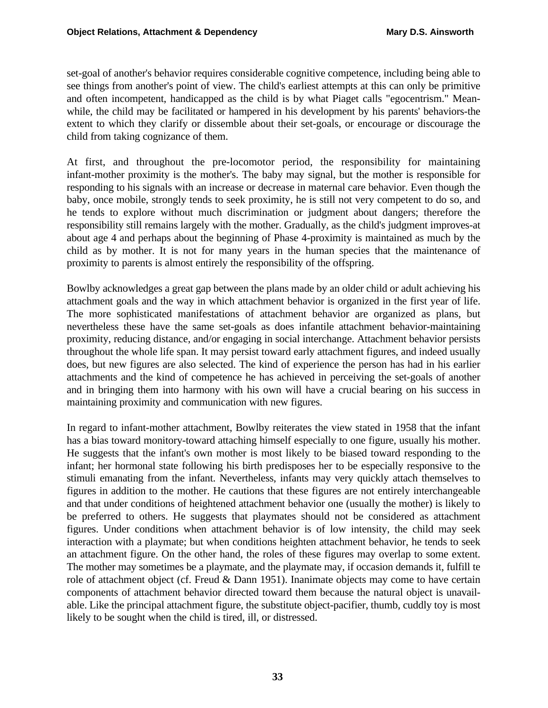set-goal of another's behavior requires considerable cognitive competence, including being able to see things from another's point of view. The child's earliest attempts at this can only be primitive and often incompetent, handicapped as the child is by what Piaget calls "egocentrism." Meanwhile, the child may be facilitated or hampered in his development by his parents' behaviors-the extent to which they clarify or dissemble about their set-goals, or encourage or discourage the child from taking cognizance of them.

At first, and throughout the pre-locomotor period, the responsibility for maintaining infant-mother proximity is the mother's. The baby may signal, but the mother is responsible for responding to his signals with an increase or decrease in maternal care behavior. Even though the baby, once mobile, strongly tends to seek proximity, he is still not very competent to do so, and he tends to explore without much discrimination or judgment about dangers; therefore the responsibility still remains largely with the mother. Gradually, as the child's judgment improves-at about age 4 and perhaps about the beginning of Phase 4-proximity is maintained as much by the child as by mother. It is not for many years in the human species that the maintenance of proximity to parents is almost entirely the responsibility of the offspring.

Bowlby acknowledges a great gap between the plans made by an older child or adult achieving his attachment goals and the way in which attachment behavior is organized in the first year of life. The more sophisticated manifestations of attachment behavior are organized as plans, but nevertheless these have the same set-goals as does infantile attachment behavior-maintaining proximity, reducing distance, and/or engaging in social interchange. Attachment behavior persists throughout the whole life span. It may persist toward early attachment figures, and indeed usually does, but new figures are also selected. The kind of experience the person has had in his earlier attachments and the kind of competence he has achieved in perceiving the set-goals of another and in bringing them into harmony with his own will have a crucial bearing on his success in maintaining proximity and communication with new figures.

In regard to infant-mother attachment, Bowlby reiterates the view stated in 1958 that the infant has a bias toward monitory-toward attaching himself especially to one figure, usually his mother. He suggests that the infant's own mother is most likely to be biased toward responding to the infant; her hormonal state following his birth predisposes her to be especially responsive to the stimuli emanating from the infant. Nevertheless, infants may very quickly attach themselves to figures in addition to the mother. He cautions that these figures are not entirely interchangeable and that under conditions of heightened attachment behavior one (usually the mother) is likely to be preferred to others. He suggests that playmates should not be considered as attachment figures. Under conditions when attachment behavior is of low intensity, the child may seek interaction with a playmate; but when conditions heighten attachment behavior, he tends to seek an attachment figure. On the other hand, the roles of these figures may overlap to some extent. The mother may sometimes be a playmate, and the playmate may, if occasion demands it, fulfill te role of attachment object (cf. Freud & Dann 1951). Inanimate objects may come to have certain components of attachment behavior directed toward them because the natural object is unavailable. Like the principal attachment figure, the substitute object-pacifier, thumb, cuddly toy is most likely to be sought when the child is tired, ill, or distressed.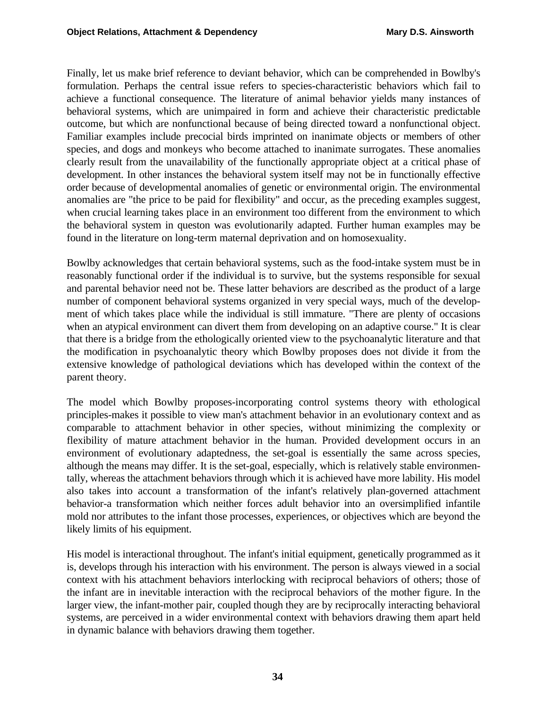Finally, let us make brief reference to deviant behavior, which can be comprehended in Bowlby's formulation. Perhaps the central issue refers to species-characteristic behaviors which fail to achieve a functional consequence. The literature of animal behavior yields many instances of behavioral systems, which are unimpaired in form and achieve their characteristic predictable outcome, but which are nonfunctional because of being directed toward a nonfunctional object. Familiar examples include precocial birds imprinted on inanimate objects or members of other species, and dogs and monkeys who become attached to inanimate surrogates. These anomalies clearly result from the unavailability of the functionally appropriate object at a critical phase of development. In other instances the behavioral system itself may not be in functionally effective order because of developmental anomalies of genetic or environmental origin. The environmental anomalies are "the price to be paid for flexibility" and occur, as the preceding examples suggest, when crucial learning takes place in an environment too different from the environment to which the behavioral system in queston was evolutionarily adapted. Further human examples may be found in the literature on long-term maternal deprivation and on homosexuality.

Bowlby acknowledges that certain behavioral systems, such as the food-intake system must be in reasonably functional order if the individual is to survive, but the systems responsible for sexual and parental behavior need not be. These latter behaviors are described as the product of a large number of component behavioral systems organized in very special ways, much of the development of which takes place while the individual is still immature. "There are plenty of occasions when an atypical environment can divert them from developing on an adaptive course." It is clear that there is a bridge from the ethologically oriented view to the psychoanalytic literature and that the modification in psychoanalytic theory which Bowlby proposes does not divide it from the extensive knowledge of pathological deviations which has developed within the context of the parent theory.

The model which Bowlby proposes-incorporating control systems theory with ethological principles-makes it possible to view man's attachment behavior in an evolutionary context and as comparable to attachment behavior in other species, without minimizing the complexity or flexibility of mature attachment behavior in the human. Provided development occurs in an environment of evolutionary adaptedness, the set-goal is essentially the same across species, although the means may differ. It is the set-goal, especially, which is relatively stable environmentally, whereas the attachment behaviors through which it is achieved have more lability. His model also takes into account a transformation of the infant's relatively plan-governed attachment behavior-a transformation which neither forces adult behavior into an oversimplified infantile mold nor attributes to the infant those processes, experiences, or objectives which are beyond the likely limits of his equipment.

His model is interactional throughout. The infant's initial equipment, genetically programmed as it is, develops through his interaction with his environment. The person is always viewed in a social context with his attachment behaviors interlocking with reciprocal behaviors of others; those of the infant are in inevitable interaction with the reciprocal behaviors of the mother figure. In the larger view, the infant-mother pair, coupled though they are by reciprocally interacting behavioral systems, are perceived in a wider environmental context with behaviors drawing them apart held in dynamic balance with behaviors drawing them together.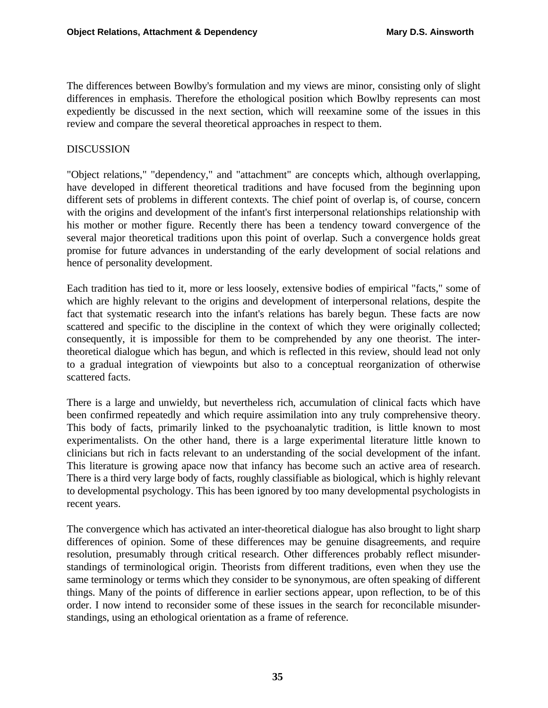The differences between Bowlby's formulation and my views are minor, consisting only of slight differences in emphasis. Therefore the ethological position which Bowlby represents can most expediently be discussed in the next section, which will reexamine some of the issues in this review and compare the several theoretical approaches in respect to them.

#### DISCUSSION

"Object relations," "dependency," and "attachment" are concepts which, although overlapping, have developed in different theoretical traditions and have focused from the beginning upon different sets of problems in different contexts. The chief point of overlap is, of course, concern with the origins and development of the infant's first interpersonal relationships relationship with his mother or mother figure. Recently there has been a tendency toward convergence of the several major theoretical traditions upon this point of overlap. Such a convergence holds great promise for future advances in understanding of the early development of social relations and hence of personality development.

Each tradition has tied to it, more or less loosely, extensive bodies of empirical "facts," some of which are highly relevant to the origins and development of interpersonal relations, despite the fact that systematic research into the infant's relations has barely begun. These facts are now scattered and specific to the discipline in the context of which they were originally collected; consequently, it is impossible for them to be comprehended by any one theorist. The intertheoretical dialogue which has begun, and which is reflected in this review, should lead not only to a gradual integration of viewpoints but also to a conceptual reorganization of otherwise scattered facts.

There is a large and unwieldy, but nevertheless rich, accumulation of clinical facts which have been confirmed repeatedly and which require assimilation into any truly comprehensive theory. This body of facts, primarily linked to the psychoanalytic tradition, is little known to most experimentalists. On the other hand, there is a large experimental literature little known to clinicians but rich in facts relevant to an understanding of the social development of the infant. This literature is growing apace now that infancy has become such an active area of research. There is a third very large body of facts, roughly classifiable as biological, which is highly relevant to developmental psychology. This has been ignored by too many developmental psychologists in recent years.

The convergence which has activated an inter-theoretical dialogue has also brought to light sharp differences of opinion. Some of these differences may be genuine disagreements, and require resolution, presumably through critical research. Other differences probably reflect misunderstandings of terminological origin. Theorists from different traditions, even when they use the same terminology or terms which they consider to be synonymous, are often speaking of different things. Many of the points of difference in earlier sections appear, upon reflection, to be of this order. I now intend to reconsider some of these issues in the search for reconcilable misunderstandings, using an ethological orientation as a frame of reference.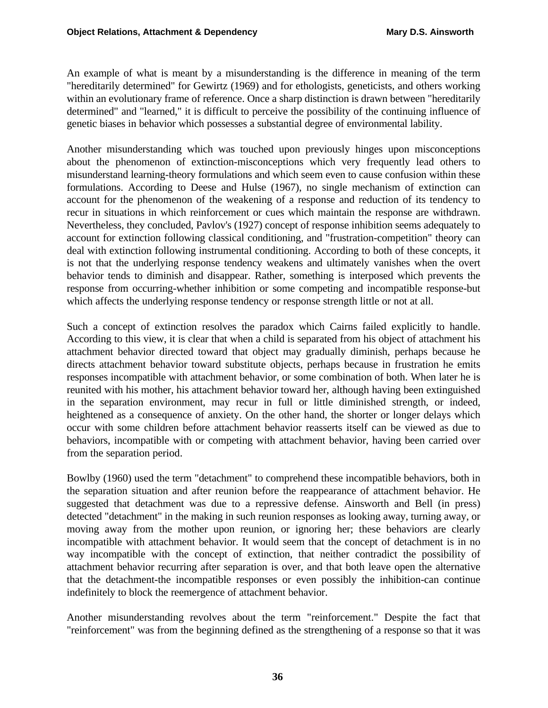An example of what is meant by a misunderstanding is the difference in meaning of the term "hereditarily determined" for Gewirtz (1969) and for ethologists, geneticists, and others working within an evolutionary frame of reference. Once a sharp distinction is drawn between "hereditarily determined" and "learned," it is difficult to perceive the possibility of the continuing influence of genetic biases in behavior which possesses a substantial degree of environmental lability.

Another misunderstanding which was touched upon previously hinges upon misconceptions about the phenomenon of extinction-misconceptions which very frequently lead others to misunderstand learning-theory formulations and which seem even to cause confusion within these formulations. According to Deese and Hulse (1967), no single mechanism of extinction can account for the phenomenon of the weakening of a response and reduction of its tendency to recur in situations in which reinforcement or cues which maintain the response are withdrawn. Nevertheless, they concluded, Pavlov's (1927) concept of response inhibition seems adequately to account for extinction following classical conditioning, and "frustration-competition" theory can deal with extinction following instrumental conditioning. According to both of these concepts, it is not that the underlying response tendency weakens and ultimately vanishes when the overt behavior tends to diminish and disappear. Rather, something is interposed which prevents the response from occurring-whether inhibition or some competing and incompatible response-but which affects the underlying response tendency or response strength little or not at all.

Such a concept of extinction resolves the paradox which Cairns failed explicitly to handle. According to this view, it is clear that when a child is separated from his object of attachment his attachment behavior directed toward that object may gradually diminish, perhaps because he directs attachment behavior toward substitute objects, perhaps because in frustration he emits responses incompatible with attachment behavior, or some combination of both. When later he is reunited with his mother, his attachment behavior toward her, although having been extinguished in the separation environment, may recur in full or little diminished strength, or indeed, heightened as a consequence of anxiety. On the other hand, the shorter or longer delays which occur with some children before attachment behavior reasserts itself can be viewed as due to behaviors, incompatible with or competing with attachment behavior, having been carried over from the separation period.

Bowlby (1960) used the term "detachment" to comprehend these incompatible behaviors, both in the separation situation and after reunion before the reappearance of attachment behavior. He suggested that detachment was due to a repressive defense. Ainsworth and Bell (in press) detected "detachment" in the making in such reunion responses as looking away, turning away, or moving away from the mother upon reunion, or ignoring her; these behaviors are clearly incompatible with attachment behavior. It would seem that the concept of detachment is in no way incompatible with the concept of extinction, that neither contradict the possibility of attachment behavior recurring after separation is over, and that both leave open the alternative that the detachment-the incompatible responses or even possibly the inhibition-can continue indefinitely to block the reemergence of attachment behavior.

Another misunderstanding revolves about the term "reinforcement." Despite the fact that "reinforcement" was from the beginning defined as the strengthening of a response so that it was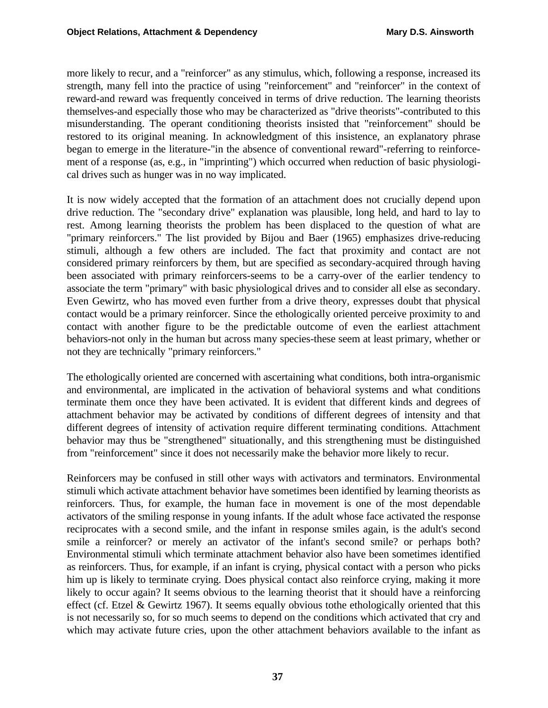more likely to recur, and a "reinforcer" as any stimulus, which, following a response, increased its strength, many fell into the practice of using "reinforcement" and "reinforcer" in the context of reward-and reward was frequently conceived in terms of drive reduction. The learning theorists themselves-and especially those who may be characterized as "drive theorists"-contributed to this misunderstanding. The operant conditioning theorists insisted that "reinforcement" should be restored to its original meaning. In acknowledgment of this insistence, an explanatory phrase began to emerge in the literature-"in the absence of conventional reward"-referring to reinforcement of a response (as, e.g., in "imprinting") which occurred when reduction of basic physiological drives such as hunger was in no way implicated.

It is now widely accepted that the formation of an attachment does not crucially depend upon drive reduction. The "secondary drive" explanation was plausible, long held, and hard to lay to rest. Among learning theorists the problem has been displaced to the question of what are "primary reinforcers." The list provided by Bijou and Baer (1965) emphasizes drive-reducing stimuli, although a few others are included. The fact that proximity and contact are not considered primary reinforcers by them, but are specified as secondary-acquired through having been associated with primary reinforcers-seems to be a carry-over of the earlier tendency to associate the term "primary" with basic physiological drives and to consider all else as secondary. Even Gewirtz, who has moved even further from a drive theory, expresses doubt that physical contact would be a primary reinforcer. Since the ethologically oriented perceive proximity to and contact with another figure to be the predictable outcome of even the earliest attachment behaviors-not only in the human but across many species-these seem at least primary, whether or not they are technically "primary reinforcers."

The ethologically oriented are concerned with ascertaining what conditions, both intra-organismic and environmental, are implicated in the activation of behavioral systems and what conditions terminate them once they have been activated. It is evident that different kinds and degrees of attachment behavior may be activated by conditions of different degrees of intensity and that different degrees of intensity of activation require different terminating conditions. Attachment behavior may thus be "strengthened" situationally, and this strengthening must be distinguished from "reinforcement" since it does not necessarily make the behavior more likely to recur.

Reinforcers may be confused in still other ways with activators and terminators. Environmental stimuli which activate attachment behavior have sometimes been identified by learning theorists as reinforcers. Thus, for example, the human face in movement is one of the most dependable activators of the smiling response in young infants. If the adult whose face activated the response reciprocates with a second smile, and the infant in response smiles again, is the adult's second smile a reinforcer? or merely an activator of the infant's second smile? or perhaps both? Environmental stimuli which terminate attachment behavior also have been sometimes identified as reinforcers. Thus, for example, if an infant is crying, physical contact with a person who picks him up is likely to terminate crying. Does physical contact also reinforce crying, making it more likely to occur again? It seems obvious to the learning theorist that it should have a reinforcing effect (cf. Etzel & Gewirtz 1967). It seems equally obvious tothe ethologically oriented that this is not necessarily so, for so much seems to depend on the conditions which activated that cry and which may activate future cries, upon the other attachment behaviors available to the infant as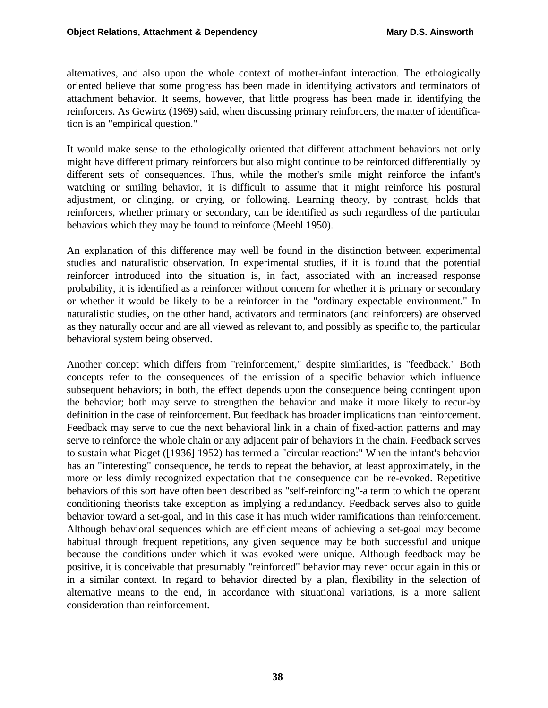alternatives, and also upon the whole context of mother-infant interaction. The ethologically oriented believe that some progress has been made in identifying activators and terminators of attachment behavior. It seems, however, that little progress has been made in identifying the reinforcers. As Gewirtz (1969) said, when discussing primary reinforcers, the matter of identification is an "empirical question."

It would make sense to the ethologically oriented that different attachment behaviors not only might have different primary reinforcers but also might continue to be reinforced differentially by different sets of consequences. Thus, while the mother's smile might reinforce the infant's watching or smiling behavior, it is difficult to assume that it might reinforce his postural adjustment, or clinging, or crying, or following. Learning theory, by contrast, holds that reinforcers, whether primary or secondary, can be identified as such regardless of the particular behaviors which they may be found to reinforce (Meehl 1950).

An explanation of this difference may well be found in the distinction between experimental studies and naturalistic observation. In experimental studies, if it is found that the potential reinforcer introduced into the situation is, in fact, associated with an increased response probability, it is identified as a reinforcer without concern for whether it is primary or secondary or whether it would be likely to be a reinforcer in the "ordinary expectable environment." In naturalistic studies, on the other hand, activators and terminators (and reinforcers) are observed as they naturally occur and are all viewed as relevant to, and possibly as specific to, the particular behavioral system being observed.

Another concept which differs from "reinforcement," despite similarities, is "feedback." Both concepts refer to the consequences of the emission of a specific behavior which influence subsequent behaviors; in both, the effect depends upon the consequence being contingent upon the behavior; both may serve to strengthen the behavior and make it more likely to recur-by definition in the case of reinforcement. But feedback has broader implications than reinforcement. Feedback may serve to cue the next behavioral link in a chain of fixed-action patterns and may serve to reinforce the whole chain or any adjacent pair of behaviors in the chain. Feedback serves to sustain what Piaget ([1936] 1952) has termed a "circular reaction:" When the infant's behavior has an "interesting" consequence, he tends to repeat the behavior, at least approximately, in the more or less dimly recognized expectation that the consequence can be re-evoked. Repetitive behaviors of this sort have often been described as "self-reinforcing"-a term to which the operant conditioning theorists take exception as implying a redundancy. Feedback serves also to guide behavior toward a set-goal, and in this case it has much wider ramifications than reinforcement. Although behavioral sequences which are efficient means of achieving a set-goal may become habitual through frequent repetitions, any given sequence may be both successful and unique because the conditions under which it was evoked were unique. Although feedback may be positive, it is conceivable that presumably "reinforced" behavior may never occur again in this or in a similar context. In regard to behavior directed by a plan, flexibility in the selection of alternative means to the end, in accordance with situational variations, is a more salient consideration than reinforcement.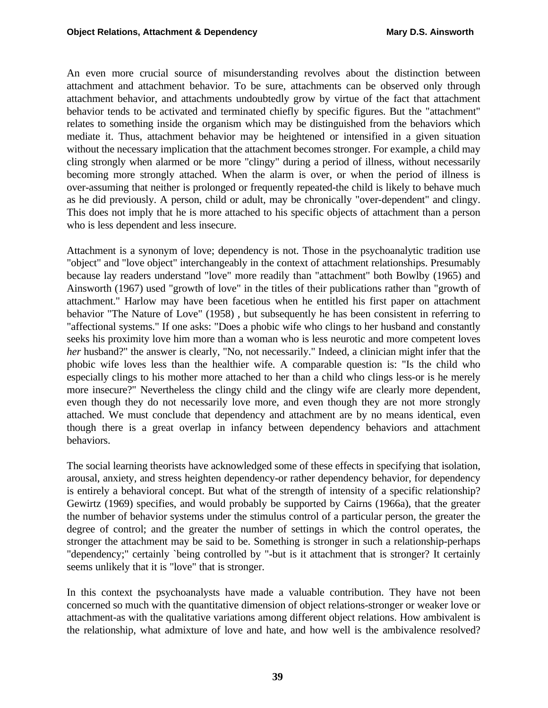An even more crucial source of misunderstanding revolves about the distinction between attachment and attachment behavior. To be sure, attachments can be observed only through attachment behavior, and attachments undoubtedly grow by virtue of the fact that attachment behavior tends to be activated and terminated chiefly by specific figures. But the "attachment" relates to something inside the organism which may be distinguished from the behaviors which mediate it. Thus, attachment behavior may be heightened or intensified in a given situation without the necessary implication that the attachment becomes stronger. For example, a child may cling strongly when alarmed or be more "clingy" during a period of illness, without necessarily becoming more strongly attached. When the alarm is over, or when the period of illness is over-assuming that neither is prolonged or frequently repeated-the child is likely to behave much as he did previously. A person, child or adult, may be chronically "over-dependent" and clingy. This does not imply that he is more attached to his specific objects of attachment than a person who is less dependent and less insecure.

Attachment is a synonym of love; dependency is not. Those in the psychoanalytic tradition use "object" and "love object" interchangeably in the context of attachment relationships. Presumably because lay readers understand "love" more readily than "attachment" both Bowlby (1965) and Ainsworth (1967) used "growth of love" in the titles of their publications rather than "growth of attachment." Harlow may have been facetious when he entitled his first paper on attachment behavior "The Nature of Love" (1958) , but subsequently he has been consistent in referring to "affectional systems." If one asks: "Does a phobic wife who clings to her husband and constantly seeks his proximity love him more than a woman who is less neurotic and more competent loves *her* husband?" the answer is clearly, "No, not necessarily." Indeed, a clinician might infer that the phobic wife loves less than the healthier wife. A comparable question is: "Is the child who especially clings to his mother more attached to her than a child who clings less-or is he merely more insecure?" Nevertheless the clingy child and the clingy wife are clearly more dependent, even though they do not necessarily love more, and even though they are not more strongly attached. We must conclude that dependency and attachment are by no means identical, even though there is a great overlap in infancy between dependency behaviors and attachment behaviors.

The social learning theorists have acknowledged some of these effects in specifying that isolation, arousal, anxiety, and stress heighten dependency-or rather dependency behavior, for dependency is entirely a behavioral concept. But what of the strength of intensity of a specific relationship? Gewirtz (1969) specifies, and would probably be supported by Cairns (1966a), that the greater the number of behavior systems under the stimulus control of a particular person, the greater the degree of control; and the greater the number of settings in which the control operates, the stronger the attachment may be said to be. Something is stronger in such a relationship-perhaps "dependency;" certainly `being controlled by "-but is it attachment that is stronger? It certainly seems unlikely that it is "love" that is stronger.

In this context the psychoanalysts have made a valuable contribution. They have not been concerned so much with the quantitative dimension of object relations-stronger or weaker love or attachment-as with the qualitative variations among different object relations. How ambivalent is the relationship, what admixture of love and hate, and how well is the ambivalence resolved?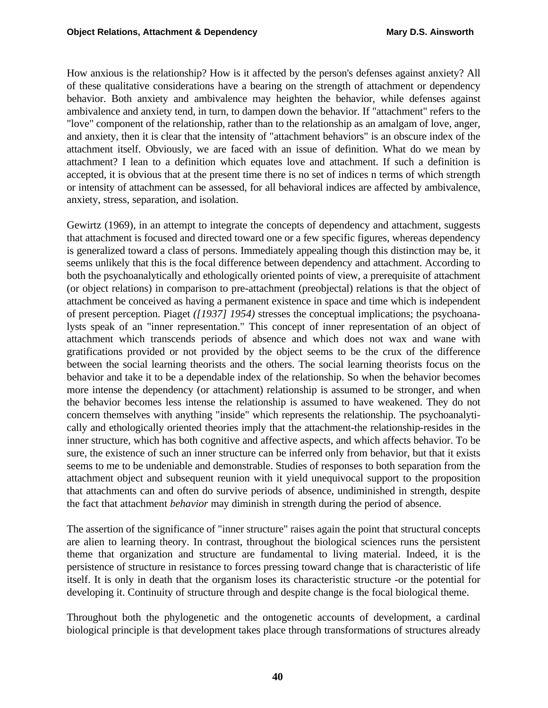How anxious is the relationship? How is it affected by the person's defenses against anxiety? All of these qualitative considerations have a bearing on the strength of attachment or dependency behavior. Both anxiety and ambivalence may heighten the behavior, while defenses against ambivalence and anxiety tend, in turn, to dampen down the behavior. If "attachment" refers to the "love" component of the relationship, rather than to the relationship as an amalgam of love, anger, and anxiety, then it is clear that the intensity of "attachment behaviors" is an obscure index of the attachment itself. Obviously, we are faced with an issue of definition. What do we mean by attachment? I lean to a definition which equates love and attachment. If such a definition is accepted, it is obvious that at the present time there is no set of indices n terms of which strength or intensity of attachment can be assessed, for all behavioral indices are affected by ambivalence, anxiety, stress, separation, and isolation.

Gewirtz (1969), in an attempt to integrate the concepts of dependency and attachment, suggests that attachment is focused and directed toward one or a few specific figures, whereas dependency is generalized toward a class of persons. Immediately appealing though this distinction may be, it seems unlikely that this is the focal difference between dependency and attachment. According to both the psychoanalytically and ethologically oriented points of view, a prerequisite of attachment (or object relations) in comparison to pre-attachment (preobjectal) relations is that the object of attachment be conceived as having a permanent existence in space and time which is independent of present perception. Piaget *([1937] 1954)* stresses the conceptual implications; the psychoanalysts speak of an "inner representation." This concept of inner representation of an object of attachment which transcends periods of absence and which does not wax and wane with gratifications provided or not provided by the object seems to be the crux of the difference between the social learning theorists and the others. The social learning theorists focus on the behavior and take it to be a dependable index of the relationship. So when the behavior becomes more intense the dependency (or attachment) relationship is assumed to be stronger, and when the behavior becomes less intense the relationship is assumed to have weakened. They do not concern themselves with anything "inside" which represents the relationship. The psychoanalytically and ethologically oriented theories imply that the attachment-the relationship-resides in the inner structure, which has both cognitive and affective aspects, and which affects behavior. To be sure, the existence of such an inner structure can be inferred only from behavior, but that it exists seems to me to be undeniable and demonstrable. Studies of responses to both separation from the attachment object and subsequent reunion with it yield unequivocal support to the proposition that attachments can and often do survive periods of absence, undiminished in strength, despite the fact that attachment *behavior* may diminish in strength during the period of absence.

The assertion of the significance of "inner structure" raises again the point that structural concepts are alien to learning theory. In contrast, throughout the biological sciences runs the persistent theme that organization and structure are fundamental to living material. Indeed, it is the persistence of structure in resistance to forces pressing toward change that is characteristic of life itself. It is only in death that the organism loses its characteristic structure -or the potential for developing it. Continuity of structure through and despite change is the focal biological theme.

Throughout both the phylogenetic and the ontogenetic accounts of development, a cardinal biological principle is that development takes place through transformations of structures already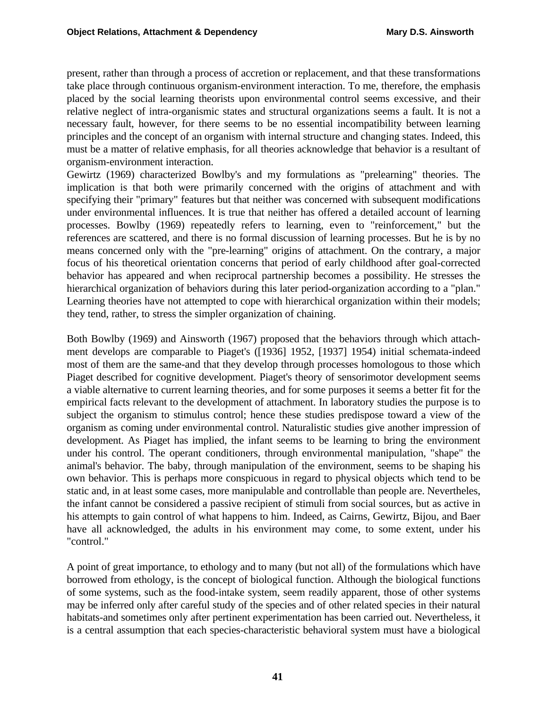present, rather than through a process of accretion or replacement, and that these transformations take place through continuous organism-environment interaction. To me, therefore, the emphasis placed by the social learning theorists upon environmental control seems excessive, and their relative neglect of intra-organismic states and structural organizations seems a fault. It is not a necessary fault, however, for there seems to be no essential incompatibility between learning principles and the concept of an organism with internal structure and changing states. Indeed, this must be a matter of relative emphasis, for all theories acknowledge that behavior is a resultant of organism-environment interaction.

Gewirtz (1969) characterized Bowlby's and my formulations as "prelearning" theories. The implication is that both were primarily concerned with the origins of attachment and with specifying their "primary" features but that neither was concerned with subsequent modifications under environmental influences. It is true that neither has offered a detailed account of learning processes. Bowlby (1969) repeatedly refers to learning, even to "reinforcement," but the references are scattered, and there is no formal discussion of learning processes. But he is by no means concerned only with the "pre-learning" origins of attachment. On the contrary, a major focus of his theoretical orientation concerns that period of early childhood after goal-corrected behavior has appeared and when reciprocal partnership becomes a possibility. He stresses the hierarchical organization of behaviors during this later period-organization according to a "plan." Learning theories have not attempted to cope with hierarchical organization within their models; they tend, rather, to stress the simpler organization of chaining.

Both Bowlby (1969) and Ainsworth (1967) proposed that the behaviors through which attachment develops are comparable to Piaget's ([1936] 1952, [1937] 1954) initial schemata-indeed most of them are the same-and that they develop through processes homologous to those which Piaget described for cognitive development. Piaget's theory of sensorimotor development seems a viable alternative to current learning theories, and for some purposes it seems a better fit for the empirical facts relevant to the development of attachment. In laboratory studies the purpose is to subject the organism to stimulus control; hence these studies predispose toward a view of the organism as coming under environmental control. Naturalistic studies give another impression of development. As Piaget has implied, the infant seems to be learning to bring the environment under his control. The operant conditioners, through environmental manipulation, "shape" the animal's behavior. The baby, through manipulation of the environment, seems to be shaping his own behavior. This is perhaps more conspicuous in regard to physical objects which tend to be static and, in at least some cases, more manipulable and controllable than people are. Nevertheles, the infant cannot be considered a passive recipient of stimuli from social sources, but as active in his attempts to gain control of what happens to him. Indeed, as Cairns, Gewirtz, Bijou, and Baer have all acknowledged, the adults in his environment may come, to some extent, under his "control."

A point of great importance, to ethology and to many (but not all) of the formulations which have borrowed from ethology, is the concept of biological function. Although the biological functions of some systems, such as the food-intake system, seem readily apparent, those of other systems may be inferred only after careful study of the species and of other related species in their natural habitats-and sometimes only after pertinent experimentation has been carried out. Nevertheless, it is a central assumption that each species-characteristic behavioral system must have a biological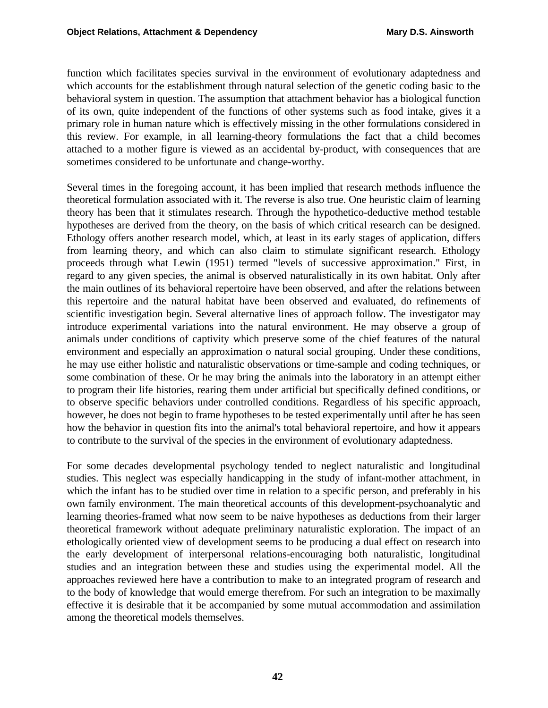function which facilitates species survival in the environment of evolutionary adaptedness and which accounts for the establishment through natural selection of the genetic coding basic to the behavioral system in question. The assumption that attachment behavior has a biological function of its own, quite independent of the functions of other systems such as food intake, gives it a primary role in human nature which is effectively missing in the other formulations considered in this review. For example, in all learning-theory formulations the fact that a child becomes attached to a mother figure is viewed as an accidental by-product, with consequences that are sometimes considered to be unfortunate and change-worthy.

Several times in the foregoing account, it has been implied that research methods influence the theoretical formulation associated with it. The reverse is also true. One heuristic claim of learning theory has been that it stimulates research. Through the hypothetico-deductive method testable hypotheses are derived from the theory, on the basis of which critical research can be designed. Ethology offers another research model, which, at least in its early stages of application, differs from learning theory, and which can also claim to stimulate significant research. Ethology proceeds through what Lewin (1951) termed "levels of successive approximation." First, in regard to any given species, the animal is observed naturalistically in its own habitat. Only after the main outlines of its behavioral repertoire have been observed, and after the relations between this repertoire and the natural habitat have been observed and evaluated, do refinements of scientific investigation begin. Several alternative lines of approach follow. The investigator may introduce experimental variations into the natural environment. He may observe a group of animals under conditions of captivity which preserve some of the chief features of the natural environment and especially an approximation o natural social grouping. Under these conditions, he may use either holistic and naturalistic observations or time-sample and coding techniques, or some combination of these. Or he may bring the animals into the laboratory in an attempt either to program their life histories, rearing them under artificial but specifically defined conditions, or to observe specific behaviors under controlled conditions. Regardless of his specific approach, however, he does not begin to frame hypotheses to be tested experimentally until after he has seen how the behavior in question fits into the animal's total behavioral repertoire, and how it appears to contribute to the survival of the species in the environment of evolutionary adaptedness.

For some decades developmental psychology tended to neglect naturalistic and longitudinal studies. This neglect was especially handicapping in the study of infant-mother attachment, in which the infant has to be studied over time in relation to a specific person, and preferably in his own family environment. The main theoretical accounts of this development-psychoanalytic and learning theories-framed what now seem to be naive hypotheses as deductions from their larger theoretical framework without adequate preliminary naturalistic exploration. The impact of an ethologically oriented view of development seems to be producing a dual effect on research into the early development of interpersonal relations-encouraging both naturalistic, longitudinal studies and an integration between these and studies using the experimental model. All the approaches reviewed here have a contribution to make to an integrated program of research and to the body of knowledge that would emerge therefrom. For such an integration to be maximally effective it is desirable that it be accompanied by some mutual accommodation and assimilation among the theoretical models themselves.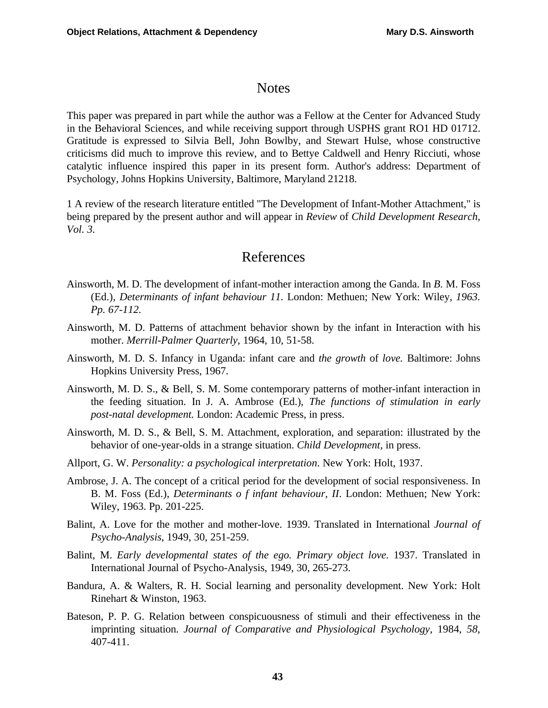## **Notes**

This paper was prepared in part while the author was a Fellow at the Center for Advanced Study in the Behavioral Sciences, and while receiving support through USPHS grant RO1 HD 01712. Gratitude is expressed to Silvia Bell, John Bowlby, and Stewart Hulse, whose constructive criticisms did much to improve this review, and to Bettye Caldwell and Henry Ricciuti, whose catalytic influence inspired this paper in its present form. Author's address: Department of Psychology, Johns Hopkins University, Baltimore, Maryland 21218.

1 A review of the research literature entitled "The Development of Infant-Mother Attachment," is being prepared by the present author and will appear in *Review* of *Child Development Research, Vol. 3.*

## References

- Ainsworth, M. D. The development of infant-mother interaction among the Ganda. In *B.* M. Foss (Ed.), *Determinants of infant behaviour 11.* London: Methuen; New York: Wiley, *1963. Pp. 67-112.*
- Ainsworth, M. D. Patterns of attachment behavior shown by the infant in Interaction with his mother. *Merrill-Palmer Quarterly,* 1964, 10, 51-58.
- Ainsworth, M. D. S. Infancy in Uganda: infant care and *the growth* of *love.* Baltimore: Johns Hopkins University Press, 1967.
- Ainsworth, M. D. S., & Bell, S. M. Some contemporary patterns of mother-infant interaction in the feeding situation. In J. A. Ambrose (Ed.), *The functions of stimulation in early post-natal development.* London: Academic Press, in press.
- Ainsworth, M. D. S., & Bell, S. M. Attachment, exploration, and separation: illustrated by the behavior of one-year-olds in a strange situation. *Child Development,* in press.
- Allport, G. W. *Personality: a psychological interpretation*. New York: Holt, 1937.
- Ambrose, J. A. The concept of a critical period for the development of social responsiveness. In B. M. Foss (Ed.), *Determinants o f infant behaviour, II*. London: Methuen; New York: Wiley, 1963. Pp. 201-225.
- Balint, A. Love for the mother and mother-love. 1939. Translated in International *Journal of Psycho-Analysis*, 1949, 30, 251-259.
- Balint, M. *Early developmental states of the ego. Primary object love.* 1937. Translated in International Journal of Psycho-Analysis, 1949, 30, 265-273.
- Bandura, A. & Walters, R. H. Social learning and personality development. New York: Holt Rinehart & Winston, 1963.
- Bateson, P. P. G. Relation between conspicuousness of stimuli and their effectiveness in the imprinting situation. *Journal of Comparative and Physiological Psychology*, 1984, *58*, 407-411.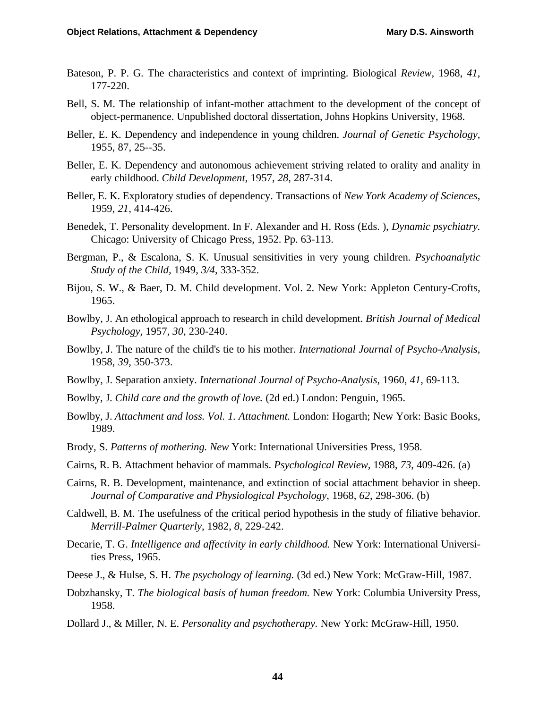- Bateson, P. P. G. The characteristics and context of imprinting. Biological *Review,* 1968, *41*, 177-220.
- Bell, S. M. The relationship of infant-mother attachment to the development of the concept of object-permanence. Unpublished doctoral dissertation, Johns Hopkins University, 1968.
- Beller, E. K. Dependency and independence in young children. *Journal of Genetic Psychology*, 1955, 87, 25--35.
- Beller, E. K. Dependency and autonomous achievement striving related to orality and anality in early childhood. *Child Development,* 1957, *28*, 287-314.
- Beller, E. K. Exploratory studies of dependency. Transactions of *New York Academy of Sciences*, 1959, *21*, 414-426.
- Benedek, T. Personality development. In F. Alexander and H. Ross (Eds. ), *Dynamic psychiatry.* Chicago: University of Chicago Press, 1952. Pp. 63-113.
- Bergman, P., & Escalona, S. K. Unusual sensitivities in very young children. *Psychoanalytic Study of the Child,* 1949, *3/4*, 333-352.
- Bijou, S. W., & Baer, D. M. Child development. Vol. 2. New York: Appleton Century-Crofts, 1965.
- Bowlby, J. An ethological approach to research in child development. *British Journal of Medical Psychology,* 1957, *30*, 230-240.
- Bowlby, J. The nature of the child's tie to his mother. *International Journal of Psycho-Analysis*, 1958, *39*, 350-373.
- Bowlby, J. Separation anxiety. *International Journal of Psycho-Analysis*, 1960, *41*, 69-113.
- Bowlby, J. *Child care and the growth of love.* (2d ed.) London: Penguin, 1965.
- Bowlby, J. *Attachment and loss. Vol. 1. Attachment.* London: Hogarth; New York: Basic Books, 1989.
- Brody, S. *Patterns of mothering. New* York: International Universities Press, 1958.
- Cairns, R. B. Attachment behavior of mammals. *Psychological Review,* 1988, *73*, 409-426. (a)
- Cairns, R. B. Development, maintenance, and extinction of social attachment behavior in sheep. *Journal of Comparative and Physiological Psychology*, 1968, *62*, 298-306. (b)
- Caldwell, B. M. The usefulness of the critical period hypothesis in the study of filiative behavior. *Merrill-Palmer Quarterly,* 1982, *8*, 229-242.
- Decarie, T. G. *Intelligence and affectivity in early childhood.* New York: International Universities Press, 1965.
- Deese J., & Hulse, S. H. *The psychology of learning.* (3d ed.) New York: McGraw-Hill, 1987.
- Dobzhansky, T. *The biological basis of human freedom.* New York: Columbia University Press, 1958.
- Dollard J., & Miller, N. E. *Personality and psychotherapy.* New York: McGraw-Hill, 1950.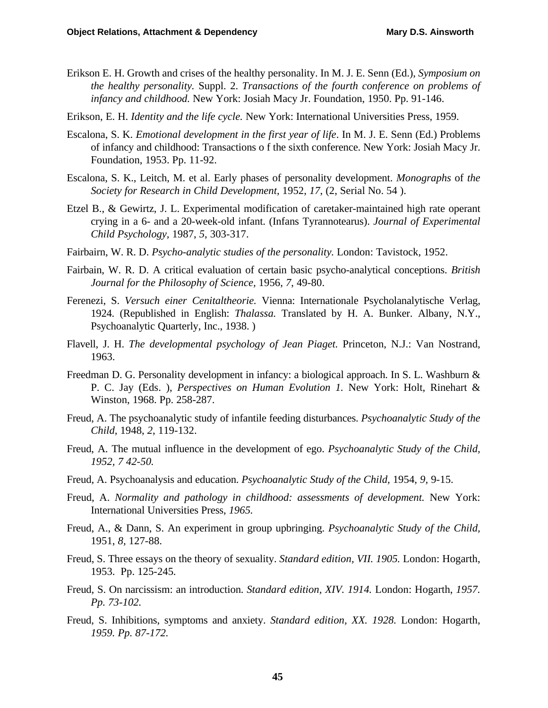- Erikson E. H. Growth and crises of the healthy personality. In M. J. E. Senn (Ed.), *Symposium on the healthy personality.* Suppl. 2. *Transactions of the fourth conference on problems of infancy and childhood.* New York: Josiah Macy Jr. Foundation, 1950. Pp. 91-146.
- Erikson, E. H. *Identity and the life cycle.* New York: International Universities Press, 1959.
- Escalona, S. K. *Emotional development in the first year of life*. In M. J. E. Senn (Ed.) Problems of infancy and childhood: Transactions o f the sixth conference. New York: Josiah Macy Jr. Foundation, 1953. Pp. 11-92.
- Escalona, S. K., Leitch, M. et al. Early phases of personality development. *Monographs* of *the Society for Research in Child Development,* 1952, *17*, (2, Serial No. 54 ).
- Etzel B., & Gewirtz, J. L. Experimental modification of caretaker-maintained high rate operant crying in a 6- and a 20-week-old infant. (Infans Tyrannotearus). *Journal of Experimental Child Psychology,* 1987, *5*, 303-317.
- Fairbairn, W. R. D. *Psycho-analytic studies of the personality.* London: Tavistock, 1952.
- Fairbain, W. R. D. A critical evaluation of certain basic psycho-analytical conceptions. *British Journal for the Philosophy of Science,* 1956, *7*, 49-80.
- Ferenezi, S. *Versuch einer Cenitaltheorie.* Vienna: Internationale Psycholanalytische Verlag, 1924. (Republished in English: *Thalassa.* Translated by H. A. Bunker. Albany, N.Y., Psychoanalytic Quarterly, Inc., 1938. )
- Flavell, J. H. *The developmental psychology of Jean Piaget.* Princeton, N.J.: Van Nostrand, 1963.
- Freedman D. G. Personality development in infancy: a biological approach. In S. L. Washburn & P. C. Jay (Eds. ), *Perspectives on Human Evolution 1.* New York: Holt, Rinehart & Winston, 1968. Pp. 258-287.
- Freud, A. The psychoanalytic study of infantile feeding disturbances. *Psychoanalytic Study of the Child,* 1948, *2*, 119-132.
- Freud, A. The mutual influence in the development of ego. *Psychoanalytic Study of the Child, 1952, 7 42-50.*
- Freud, A. Psychoanalysis and education. *Psychoanalytic Study of the Child,* 1954, *9,* 9-15.
- Freud, A. *Normality and pathology in childhood: assessments of development.* New York: International Universities Press, *1965.*
- Freud, A., & Dann, S. An experiment in group upbringing. *Psychoanalytic Study of the Child,* 1951, *8,* 127-88.
- Freud, S. Three essays on the theory of sexuality. *Standard edition, VII. 1905.* London: Hogarth, 1953. Pp. 125-245*.*
- Freud, S. On narcissism: an introduction. *Standard edition, XIV. 1914.* London: Hogarth, *1957. Pp. 73-102.*
- Freud, S. Inhibitions, symptoms and anxiety. *Standard edition, XX. 1928.* London: Hogarth, *1959. Pp. 87-172.*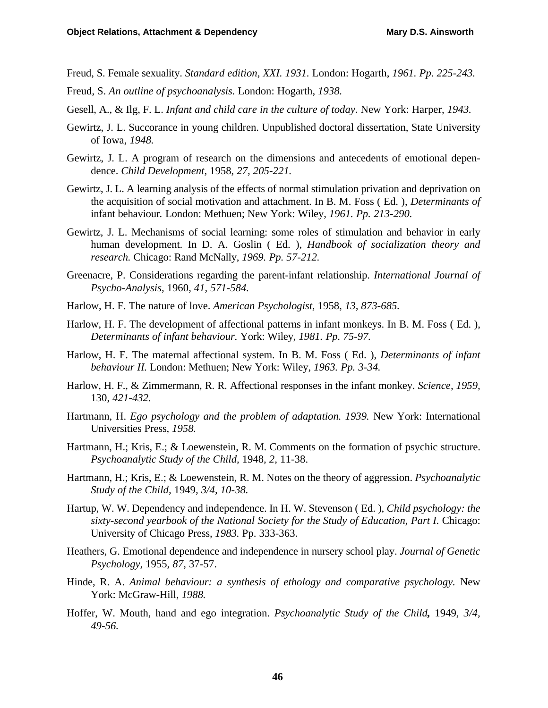- Freud, S. Female sexuality. *Standard edition, XXI. 1931.* London: Hogarth, *1961. Pp. 225-243.*
- Freud, S. *An outline of psychoanalysis.* London: Hogarth, *1938.*
- Gesell, A., & Ilg, F. L. *Infant and child care in the culture of today.* New York: Harper, *1943.*
- Gewirtz, J. L. Succorance in young children. Unpublished doctoral dissertation, State University of Iowa, *1948.*
- Gewirtz, J. L. A program of research on the dimensions and antecedents of emotional dependence. *Child Development,* 1958, *27, 205-221.*
- Gewirtz, J. L. A learning analysis of the effects of normal stimulation privation and deprivation on the acquisition of social motivation and attachment. In B. M. Foss ( Ed. ), *Determinants of* infant behaviour*.* London: Methuen; New York: Wiley, *1961. Pp. 213-290.*
- Gewirtz, J. L. Mechanisms of social learning: some roles of stimulation and behavior in early human development. In D. A. Goslin ( Ed. ), *Handbook of socialization theory and research.* Chicago: Rand McNally, *1969. Pp. 57-212.*
- Greenacre, P. Considerations regarding the parent-infant relationship. *International Journal of Psycho-Analysis,* 1960, *41, 571-584.*
- Harlow, H. F. The nature of love. *American Psychologist,* 1958, *13, 873-685.*
- Harlow, H. F. The development of affectional patterns in infant monkeys. In B. M. Foss ( Ed. ), *Determinants of infant behaviour.* York: Wiley, *1981. Pp. 75-97.*
- Harlow, H. F. The maternal affectional system. In B. M. Foss ( Ed. ), *Determinants of infant behaviour II.* London: Methuen; New York: Wiley, *1963. Pp. 3-34.*
- Harlow, H. F., & Zimmermann, R. R. Affectional responses in the infant monkey. *Science, 1959,* 130, *421-432.*
- Hartmann, H. *Ego psychology and the problem of adaptation. 1939.* New York: International Universities Press, *1958.*
- Hartmann, H.; Kris, E.; & Loewenstein, R. M. Comments on the formation of psychic structure. *Psychoanalytic Study of the Child,* 1948*, 2,* 11-38.
- Hartmann, H.; Kris, E.; & Loewenstein, R. M. Notes on the theory of aggression. *Psychoanalytic Study of the Child,* 1949*, 3/4, 10-38.*
- Hartup, W. W. Dependency and independence. In H. W. Stevenson ( Ed. ), *Child psychology: the* sixty-second yearbook of the National Society for the Study of Education, Part I. Chicago: University of Chicago Press, *1983.* Pp. 333-363.
- Heathers, G. Emotional dependence and independence in nursery school play. *Journal of Genetic Psychology,* 1955*, 87,* 37-57.
- Hinde, R. A. *Animal behaviour: a synthesis of ethology and comparative psychology.* New York: McGraw-Hill, *1988.*
- Hoffer, W. Mouth, hand and ego integration. *Psychoanalytic Study of the Child,* 1949*, 3/4, 49-56.*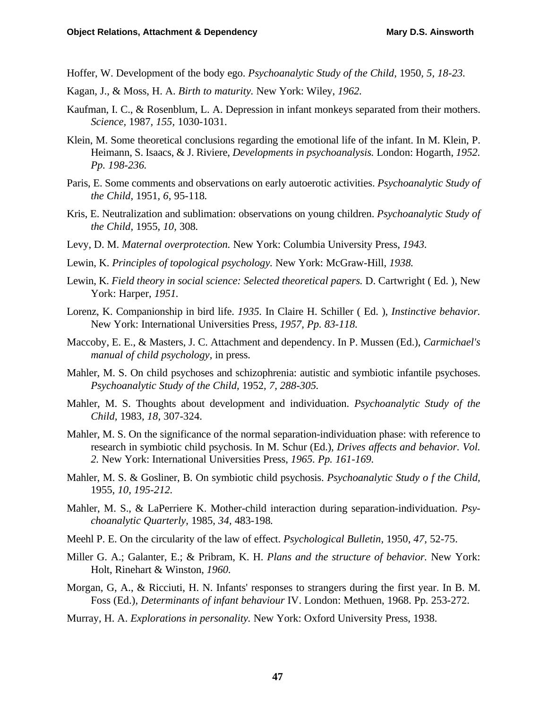- Hoffer, W. Development of the body ego. *Psychoanalytic Study of the Child,* 1950*, 5, 18-23.*
- Kagan, J., & Moss, H. A. *Birth to maturity.* New York: Wiley, *1962.*
- Kaufman, I. C., & Rosenblum, L. A. Depression in infant monkeys separated from their mothers. *Science,* 1987*, 155,* 1030-1031.
- Klein, M. Some theoretical conclusions regarding the emotional life of the infant. In M. Klein, P. Heimann, S. Isaacs, & J. Riviere, *Developments in psychoanalysis.* London: Hogarth, *1952. Pp. 198-236.*
- Paris, E. Some comments and observations on early autoerotic activities. *Psychoanalytic Study of the Child,* 1951*, 6,* 95-118*.*
- Kris, E. Neutralization and sublimation: observations on young children. *Psychoanalytic Study of the Child,* 1955*, 10,* 308*.*
- Levy, D. M. *Maternal overprotection.* New York: Columbia University Press, *1943.*
- Lewin, K. *Principles of topological psychology.* New York: McGraw-Hill, *1938.*
- Lewin, K. *Field theory in social science: Selected theoretical papers.* D. Cartwright ( Ed. ), New York: Harper, *1951.*
- Lorenz, K. Companionship in bird life. *1935.* In Claire H. Schiller ( Ed. ), *Instinctive behavior.* New York: International Universities Press, *1957, Pp. 83-118.*
- Maccoby, E. E., & Masters, J. C. Attachment and dependency. In P. Mussen (Ed.), *Carmichael's manual of child psychology,* in press.
- Mahler, M. S. On child psychoses and schizophrenia: autistic and symbiotic infantile psychoses. *Psychoanalytic Study of the Child,* 1952*, 7, 288-305.*
- Mahler, M. S. Thoughts about development and individuation. *Psychoanalytic Study of the Child,* 1983*, 18,* 307-324.
- Mahler, M. S. On the significance of the normal separation-individuation phase: with reference to research in symbiotic child psychosis. In M. Schur (Ed.), *Drives affects and behavior. Vol. 2.* New York: International Universities Press, *1965. Pp. 161-169.*
- Mahler, M. S. & Gosliner, B. On symbiotic child psychosis. *Psychoanalytic Study o f the Child,* 1955*, 10, 195-212.*
- Mahler, M. S., & LaPerriere K. Mother-child interaction during separation-individuation. *Psychoanalytic Quarterly,* 1985*, 34,* 483-198*.*
- Meehl P. E. On the circularity of the law of effect. *Psychological Bulletin,* 1950, *47,* 52-75.
- Miller G. A.; Galanter, E.; & Pribram, K. H. *Plans and the structure of behavior.* New York: Holt, Rinehart & Winston, *1960.*
- Morgan, G, A., & Ricciuti, H. N. Infants' responses to strangers during the first year. In B. M. Foss (Ed.), *Determinants of infant behaviour* IV. London: Methuen, 1968. Pp. 253-272.
- Murray, H. A. *Explorations in personality.* New York: Oxford University Press, 1938.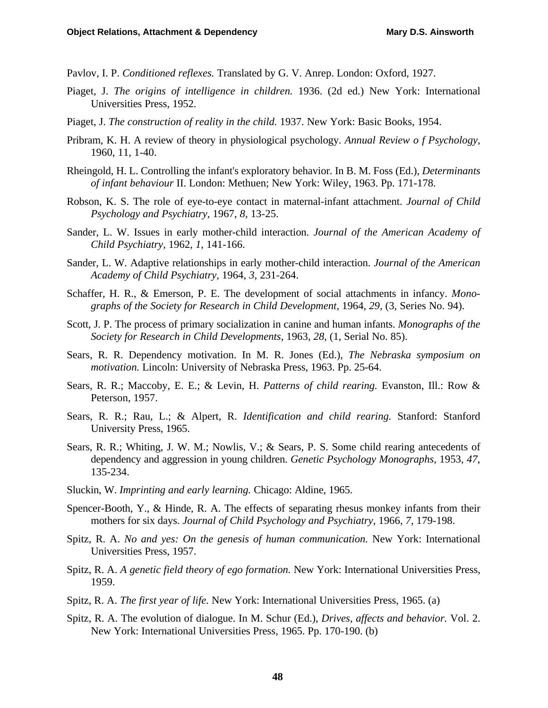- Pavlov, I. P. *Conditioned reflexes.* Translated by G. V. Anrep. London: Oxford, 1927.
- Piaget, J. *The origins of intelligence in children.* 1936. (2d ed.) New York: International Universities Press, 1952.
- Piaget, J. *The construction of reality in the child.* 1937. New York: Basic Books, 1954.
- Pribram, K. H. A review of theory in physiological psychology. *Annual Review o f Psychology,* 1960, 11, 1-40.
- Rheingold, H. L. Controlling the infant's exploratory behavior. In B. M. Foss (Ed.), *Determinants of infant behaviour* II. London: Methuen; New York: Wiley, 1963. Pp. 171-178.
- Robson, K. S. The role of eye-to-eye contact in maternal-infant attachment. *Journal of Child Psychology and Psychiatry,* 1967, *8*, 13-25.
- Sander, L. W. Issues in early mother-child interaction. *Journal of the American Academy of Child Psychiatry,* 1962, *1*, 141-166.
- Sander, L. W. Adaptive relationships in early mother-child interaction. *Journal of the American Academy of Child Psychiatry,* 1964, *3*, 231-264.
- Schaffer, H. R., & Emerson, P. E. The development of social attachments in infancy. *Monographs of the Society for Research in Child Development,* 1964, *29*, (3, Series No. 94).
- Scott, J. P. The process of primary socialization in canine and human infants. *Monographs of the Society for Research in Child Developments,* 1963, *28*, (1, Serial No. 85).
- Sears, R. R. Dependency motivation. In M. R. Jones (Ed.), *The Nebraska symposium on motivation.* Lincoln: University of Nebraska Press, 1963. Pp. 25-64.
- Sears, R. R.; Maccoby, E. E.; & Levin, H. *Patterns of child rearing.* Evanston, Ill.: Row & Peterson, 1957.
- Sears, R. R.; Rau, L.; & Alpert, R. *Identification and child rearing.* Stanford: Stanford University Press, 1965.
- Sears, R. R.; Whiting, J. W. M.; Nowlis, V.; & Sears, P. S. Some child rearing antecedents of dependency and aggression in young children. *Genetic Psychology Monographs,* 1953, *47*, 135-234.
- Sluckin, W. *Imprinting and early learning.* Chicago: Aldine, 1965.
- Spencer-Booth, Y., & Hinde, R. A. The effects of separating rhesus monkey infants from their mothers for six days. *Journal of Child Psychology and Psychiatry,* 1966, *7*, 179-198.
- Spitz, R. A. *No and yes: On the genesis of human communication.* New York: International Universities Press, 1957.
- Spitz, R. A. *A genetic field theory of ego formation.* New York: International Universities Press, 1959.
- Spitz, R. A. *The first year of life.* New York: International Universities Press, 1965. (a)
- Spitz, R. A. The evolution of dialogue. In M. Schur (Ed.), *Drives, affects and behavior.* Vol. 2. New York: International Universities Press, 1965. Pp. 170-190. (b)